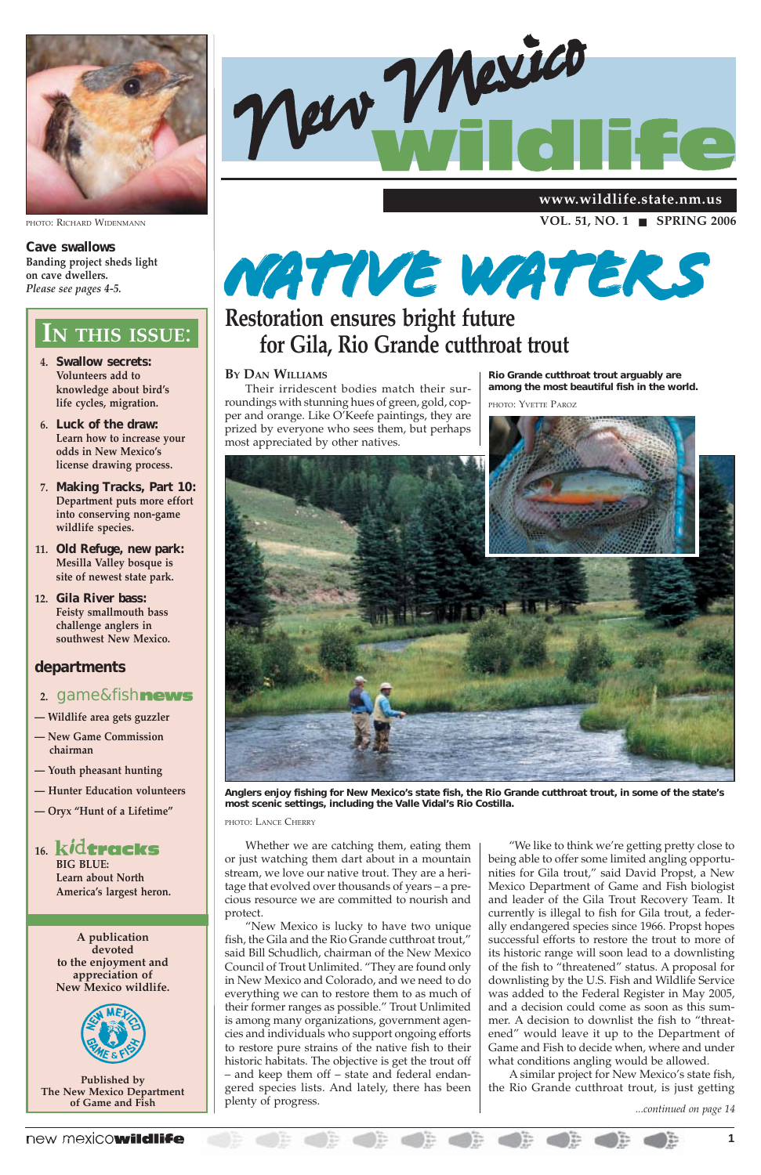### new mexicowildlife



PHOTO: RICHARD WIDENMANN

**Cave swallows Banding project sheds light on cave dwellers.** *Please see pages 4-5.*

- **4. Swallow secrets: Volunteers add to knowledge about bird's life cycles, migration.**
- **6. Luck of the draw: Learn how to increase your odds in New Mexico's license drawing process.**
- **7. Making Tracks, Part 10: Department puts more effort into conserving non-game wildlife species.**
- **11. Old Refuge, new park: Mesilla Valley bosque is site of newest state park.**
- **12. Gila River bass: Feisty smallmouth bass challenge anglers in southwest New Mexico.**

### **departments**

- **2.** game&fish
- **Wildlife area gets guzzler**
- **New Game Commission chairman**
- **Youth pheasant hunting**
- **Hunter Education volunteers**
- **Oryx "Hunt of a Lifetime"**





**BIG BLUE: Learn about North America's largest heron.**

## **IN THIS ISSUE**:

**A publication devoted to the enjoyment and appreciation of New Mexico wildlife.**



**Published by The New Mexico Department of Game and Fish**

**VOL. 51, NO. 1** ! **SPRING 2006**

**www.wildlife.state.nm.us**

*...continued on page 14*

#### **BY DAN WILLIAMS**

Their irridescent bodies match their surroundings with stunning hues of green, gold, copper and orange. Like O'Keefe paintings, they are prized by everyone who sees them, but perhaps most appreciated by other natives.

Whether we are catching them, eating them or just watching them dart about in a mountain stream, we love our native trout. They are a heritage that evolved over thousands of years – a precious resource we are committed to nourish and protect. "New Mexico is lucky to have two unique fish, the Gila and the Rio Grande cutthroat trout," said Bill Schudlich, chairman of the New Mexico Council of Trout Unlimited. "They are found only in New Mexico and Colorado, and we need to do everything we can to restore them to as much of their former ranges as possible." Trout Unlimited is among many organizations, government agencies and individuals who support ongoing efforts to restore pure strains of the native fish to their historic habitats. The objective is get the trout off – and keep them off – state and federal endangered species lists. And lately, there has been plenty of progress.

"We like to think we're getting pretty close to being able to offer some limited angling opportunities for Gila trout," said David Propst, a New Mexico Department of Game and Fish biologist and leader of the Gila Trout Recovery Team. It currently is illegal to fish for Gila trout, a federally endangered species since 1966. Propst hopes successful efforts to restore the trout to more of its historic range will soon lead to a downlisting of the fish to "threatened" status. A proposal for downlisting by the U.S. Fish and Wildlife Service was added to the Federal Register in May 2005, and a decision could come as soon as this summer. A decision to downlist the fish to "threatened" would leave it up to the Department of Game and Fish to decide when, where and under what conditions angling would be allowed. A similar project for New Mexico's state fish, the Rio Grande cutthroat trout, is just getting

## **for Gila, Rio Grande cutthroat trout**



**Anglers enjoy fishing for New Mexico's state fish, the Rio Grande cutthroat trout, in some of the state's most scenic settings, including the Valle Vidal's Rio Costilla.**

PHOTO: LANCE CHERRY

## **Restoration ensures bright future** *Native waters*

**Rio Grande cutthroat trout arguably are among the most beautiful fish in the world.**

PHOTO: YVETTE PAROZ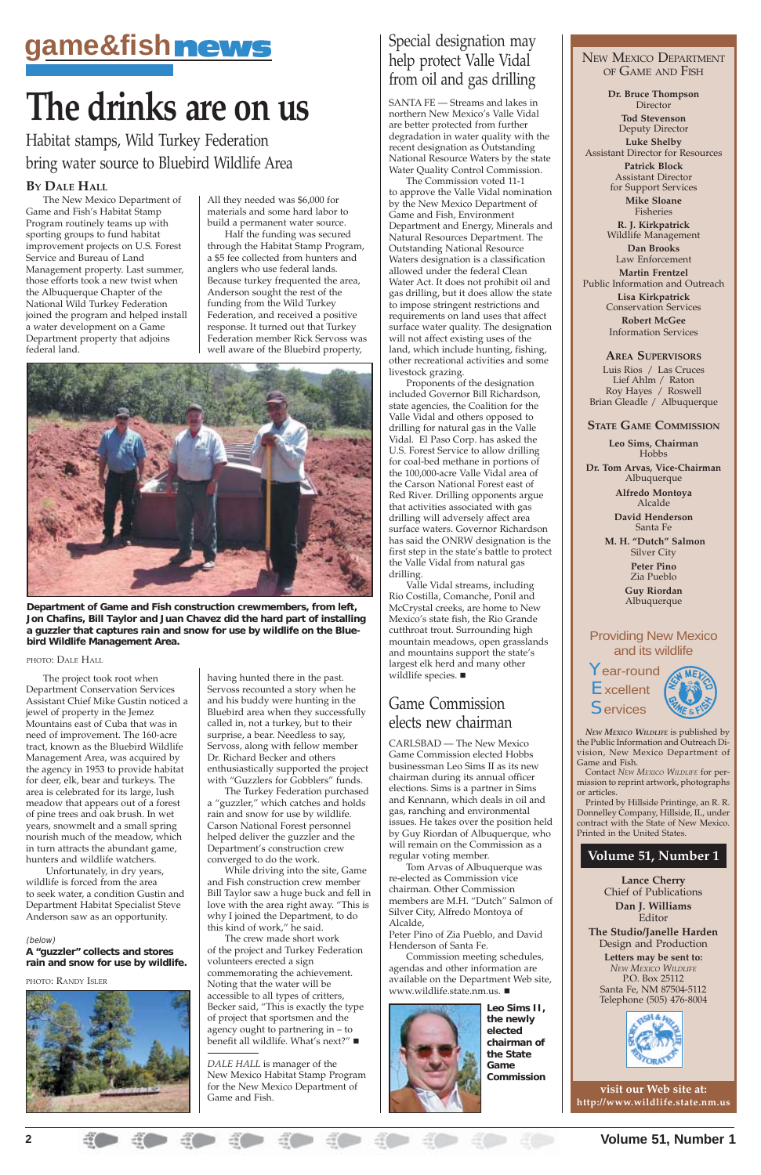## OF GAME AND FISH

**Dr. Bruce Thompson** Director

**Tod Stevenson** Deputy Director **Luke Shelby** Assistant Director for Resources **Patrick Block**

Assistant Director for Support Services

**Mike Sloane** Fisheries

**R. J. Kirkpatrick** Wildlife Management

**Dan Brooks** Law Enforcement

**Martin Frentzel** Public Information and Outreach **Lisa Kirkpatrick**

Year-round **Excellent Services** 



Conservation Services **Robert McGee** Information Services

**AREA SUPERVISORS**

Luis Rios / Las Cruces Lief Ahlm / Raton Roy Hayes / Roswell Brian Gleadle / Albuquerque

#### **STATE GAME COMMISSION**

**Leo Sims, Chairman** Hobbs

**Dr. Tom Arvas, Vice-Chairman** Albuquerque

> **Alfredo Montoya** Alcalde

**David Henderson** Santa Fe

 **M. H. "Dutch" Salmon** Silver City **Peter Pino**

Zia Pueblo

**Guy Riordan** Albuquerque

#### Providing New Mexico and its wildlife

**visit our Web site at: http://www.wildlife.state.nm.us**

*NEW MEXICO WILDLIFE* is published by the Public Information and Outreach Division, New Mexico Department of Game and Fish.

Contact *NEW MEXICO WILDLIFE* for permission to reprint artwork, photographs or articles.

Printed by Hillside Printinge, an R. R. Donnelley Company, Hillside, IL, under contract with the State of New Mexico. Printed in the United States.

#### **Volume 51, Number 1**

**Lance Cherry** Chief of Publications **Dan J. Williams** Editor **The Studio/Janelle Harden** Design and Production **Letters may be sent to:** *NEW MEXICO WILDLIFE* P.O. Box 25112

Santa Fe, NM 87504-5112 Telephone (505) 476-8004



#### **BY DALE HALL**

The New Mexico Department of Game and Fish's Habitat Stamp Program routinely teams up with sporting groups to fund habitat improvement projects on U.S. Forest Service and Bureau of Land Management property. Last summer, those efforts took a new twist when the Albuquerque Chapter of the National Wild Turkey Federation joined the program and helped install a water development on a Game Department property that adjoins federal land.

> The crew made short work of the project and Turkey Federation volunteers erected a sign commemorating the achievement. Noting that the water will be accessible to all types of critters, Becker said, "This is exactly the type of project that sportsmen and the agency ought to partnering in – to benefit all wildlife. What's next?" ■

The project took root when Department Conservation Services Assistant Chief Mike Gustin noticed a jewel of property in the Jemez Mountains east of Cuba that was in need of improvement. The 160-acre tract, known as the Bluebird Wildlife Management Area, was acquired by the agency in 1953 to provide habitat for deer, elk, bear and turkeys. The area is celebrated for its large, lush meadow that appears out of a forest of pine trees and oak brush. In wet years, snowmelt and a small spring nourish much of the meadow, which in turn attracts the abundant game, hunters and wildlife watchers.

 Unfortunately, in dry years, wildlife is forced from the area to seek water, a condition Gustin and Department Habitat Specialist Steve Anderson saw as an opportunity.

All they needed was \$6,000 for materials and some hard labor to build a permanent water source.

Half the funding was secured through the Habitat Stamp Program, a \$5 fee collected from hunters and anglers who use federal lands. Because turkey frequented the area, Anderson sought the rest of the funding from the Wild Turkey Federation, and received a positive response. It turned out that Turkey Federation member Rick Servoss was well aware of the Bluebird property,



having hunted there in the past. Servoss recounted a story when he and his buddy were hunting in the Bluebird area when they successfully called in, not a turkey, but to their surprise, a bear. Needless to say, Servoss, along with fellow member Dr. Richard Becker and others enthusiastically supported the project with "Guzzlers for Gobblers" funds.

Valle Vidal streams, including Rio Costilla, Comanche, Ponil and McCrystal creeks, are home to New Mexico's state fish, the Rio Grande cutthroat trout. Surrounding high mountain meadows, open grasslands and mountains support the state's largest elk herd and many other wildlife species.

The Turkey Federation purchased a "guzzler," which catches and holds rain and snow for use by wildlife. Carson National Forest personnel helped deliver the guzzler and the Department's construction crew converged to do the work.

While driving into the site, Game and Fish construction crew member Bill Taylor saw a huge buck and fell in love with the area right away. "This is why I joined the Department, to do this kind of work," he said.

*DALE HALL* is manager of the New Mexico Habitat Stamp Program for the New Mexico Department of Game and Fish.

## Game Commission elects new chairman

CARLSBAD — The New Mexico Game Commission elected Hobbs businessman Leo Sims II as its new chairman during its annual officer elections. Sims is a partner in Sims and Kennann, which deals in oil and gas, ranching and environmental issues. He takes over the position held by Guy Riordan of Albuquerque, who will remain on the Commission as a regular voting member. Tom Arvas of Albuquerque was re-elected as Commission vice chairman. Other Commission members are M.H. "Dutch" Salmon of Silver City, Alfredo Montoya of Alcalde,

Peter Pino of Zia Pueblo, and David Henderson of Santa Fe.

Commission meeting schedules, agendas and other information are available on the Department Web site, www.wildlife.state.nm.us. !



## Special designation may help protect Valle Vidal from oil and gas drilling

SANTA FE — Streams and lakes in northern New Mexico's Valle Vidal are better protected from further degradation in water quality with the recent designation as Outstanding National Resource Waters by the state Water Quality Control Commission.

The Commission voted 11-1 to approve the Valle Vidal nomination by the New Mexico Department of Game and Fish, Environment Department and Energy, Minerals and Natural Resources Department. The Outstanding National Resource Waters designation is a classification allowed under the federal Clean Water Act. It does not prohibit oil and gas drilling, but it does allow the state to impose stringent restrictions and requirements on land uses that affect surface water quality. The designation will not affect existing uses of the land, which include hunting, fishing, other recreational activities and some livestock grazing.

Proponents of the designation included Governor Bill Richardson, state agencies, the Coalition for the Valle Vidal and others opposed to drilling for natural gas in the Valle Vidal. El Paso Corp. has asked the U.S. Forest Service to allow drilling for coal-bed methane in portions of the 100,000-acre Valle Vidal area of the Carson National Forest east of Red River. Drilling opponents argue that activities associated with gas drilling will adversely affect area surface waters. Governor Richardson has said the ONRW designation is the first step in the state's battle to protect the Valle Vidal from natural gas drilling.

## **game&fishmews**<br>
New Mexico Department

## **The drinks are on us**

Habitat stamps, Wild Turkey Federation bring water source to Bluebird Wildlife Area

**Department of Game and Fish construction crewmembers, from left, Jon Chafins, Bill Taylor and Juan Chavez did the hard part of installing a guzzler that captures rain and snow for use by wildlife on the Bluebird Wildlife Management Area.**

#### PHOTO: DALE HALL

#### (below)

**A "guzzler" collects and stores rain and snow for use by wildlife.**

#### PHOTO: RANDY ISLER



**Leo Sims II, the newly elected chairman of the State Game Commission**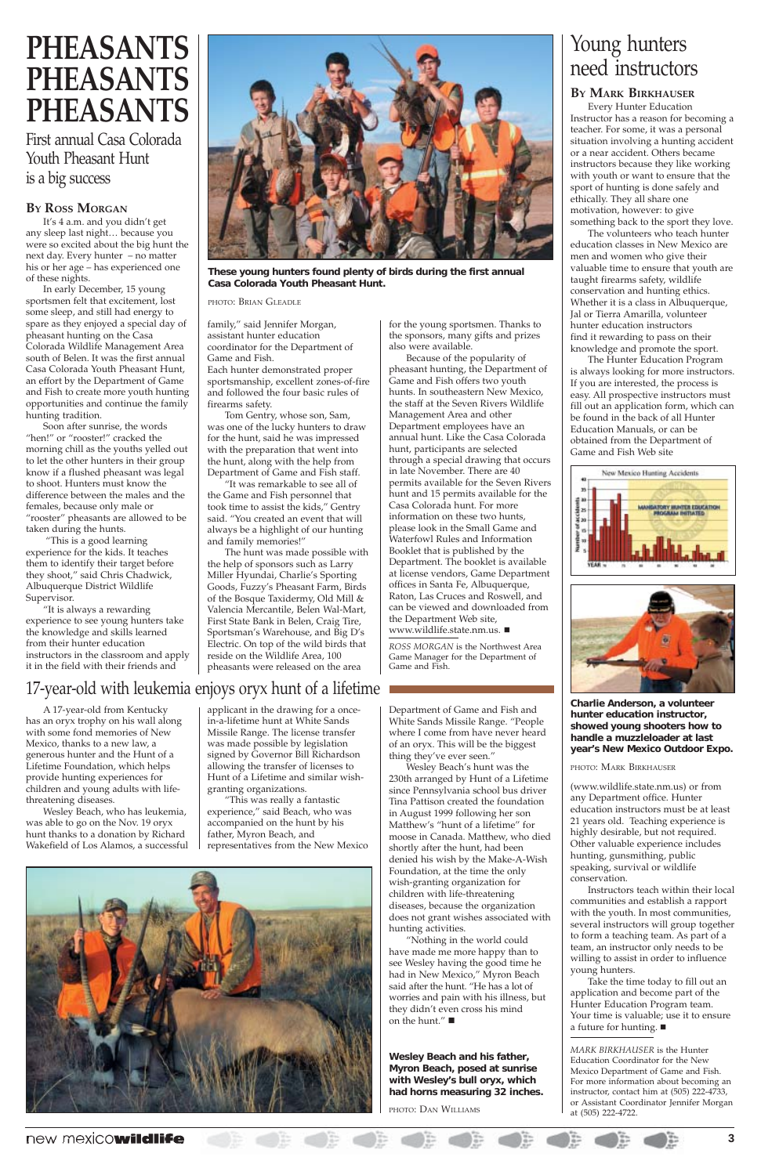#### **BY ROSS MORGAN**

It's 4 a.m. and you didn't get any sleep last night… because you were so excited about the big hunt the next day. Every hunter – no matter his or her age – has experienced one of these nights.

In early December, 15 young sportsmen felt that excitement, lost some sleep, and still had energy to spare as they enjoyed a special day of pheasant hunting on the Casa Colorada Wildlife Management Area south of Belen. It was the first annual Casa Colorada Youth Pheasant Hunt, an effort by the Department of Game and Fish to create more youth hunting opportunities and continue the family hunting tradition.

Soon after sunrise, the words "hen!" or "rooster!" cracked the morning chill as the youths yelled out to let the other hunters in their group know if a flushed pheasant was legal to shoot. Hunters must know the difference between the males and the females, because only male or "rooster" pheasants are allowed to be taken during the hunts.

 "This is a good learning experience for the kids. It teaches them to identify their target before they shoot," said Chris Chadwick, Albuquerque District Wildlife Supervisor.

"It is always a rewarding experience to see young hunters take the knowledge and skills learned from their hunter education instructors in the classroom and apply it in the field with their friends and

Because of the popularity of pheasant hunting, the Department of Game and Fish offers two youth hunts. In southeastern New Mexico, the staff at the Seven Rivers Wildlife Management Area and other Department employees have an annual hunt. Like the Casa Colorada hunt, participants are selected through a special drawing that occurs in late November. There are 40 permits available for the Seven Rivers hunt and 15 permits available for the Casa Colorada hunt. For more information on these two hunts, please look in the Small Game and Waterfowl Rules and Information Booklet that is published by the Department. The booklet is available at license vendors, Game Department offices in Santa Fe, Albuquerque, Raton, Las Cruces and Roswell, and can be viewed and downloaded from the Department Web site, www.wildlife.state.nm.us. ■

family," said Jennifer Morgan, assistant hunter education coordinator for the Department of Game and Fish. Each hunter demonstrated proper sportsmanship, excellent zones-of-fire and followed the four basic rules of firearms safety.

Tom Gentry, whose son, Sam, was one of the lucky hunters to draw for the hunt, said he was impressed with the preparation that went into the hunt, along with the help from Department of Game and Fish staff.

"It was remarkable to see all of the Game and Fish personnel that took time to assist the kids," Gentry said. "You created an event that will always be a highlight of our hunting and family memories!"

The hunt was made possible with the help of sponsors such as Larry Miller Hyundai, Charlie's Sporting Goods, Fuzzy's Pheasant Farm, Birds of the Bosque Taxidermy, Old Mill & Valencia Mercantile, Belen Wal-Mart, First State Bank in Belen, Craig Tire, Sportsman's Warehouse, and Big D's Electric. On top of the wild birds that reside on the Wildlife Area, 100 pheasants were released on the area



**These young hunters found plenty of birds during the first annual Casa Colorada Youth Pheasant Hunt.**

PHOTO: BRIAN GLEADLE

## **PHEASANTS PHEASANTS PHEASANTS**

First annual Casa Colorada Youth Pheasant Hunt is a big success

> Take the time today to fill out an application and become part of the Hunter Education Program team. Your time is valuable; use it to ensure a future for hunting.  $\blacksquare$

for the young sportsmen. Thanks to the sponsors, many gifts and prizes also were available.

Wesley Beach's hunt was the 230th arranged by Hunt of a Lifetime since Pennsylvania school bus driver Tina Pattison created the foundation in August 1999 following her son Matthew's "hunt of a lifetime" for moose in Canada. Matthew, who died shortly after the hunt, had been denied his wish by the Make-A-Wish Foundation, at the time the only wish-granting organization for children with life-threatening diseases, because the organization does not grant wishes associated with hunting activities. "Nothing in the world could have made me more happy than to see Wesley having the good time he had in New Mexico," Myron Beach said after the hunt. "He has a lot of worries and pain with his illness, but they didn't even cross his mind on the hunt." $\blacksquare$ 

*ROSS MORGAN* is the Northwest Area Game Manager for the Department of Game and Fish.

## Young hunters need instructors

#### **BY MARK BIRKHAUSER**

Every Hunter Education Instructor has a reason for becoming a teacher. For some, it was a personal situation involving a hunting accident or a near accident. Others became instructors because they like working with youth or want to ensure that the sport of hunting is done safely and ethically. They all share one motivation, however: to give something back to the sport they love.

The volunteers who teach hunter education classes in New Mexico are men and women who give their valuable time to ensure that youth are taught firearms safety, wildlife conservation and hunting ethics. Whether it is a class in Albuquerque, Jal or Tierra Amarilla, volunteer hunter education instructors find it rewarding to pass on their knowledge and promote the sport.

The Hunter Education Program is always looking for more instructors. If you are interested, the process is easy. All prospective instructors must fill out an application form, which can be found in the back of all Hunter Education Manuals, or can be obtained from the Department of Game and Fish Web site





(www.wildlife.state.nm.us) or from any Department office. Hunter education instructors must be at least 21 years old. Teaching experience is highly desirable, but not required. Other valuable experience includes hunting, gunsmithing, public

speaking, survival or wildlife conservation.

Instructors teach within their local communities and establish a rapport with the youth. In most communities, several instructors will group together to form a teaching team. As part of a team, an instructor only needs to be willing to assist in order to influence young hunters.

*MARK BIRKHAUSER* is the Hunter Education Coordinator for the New Mexico Department of Game and Fish. For more information about becoming an instructor, contact him at (505) 222-4733, or Assistant Coordinator Jennifer Morgan at (505) 222-4722.

new mexicowildlife

A 17-year-old from Kentucky has an oryx trophy on his wall along with some fond memories of New Mexico, thanks to a new law, a generous hunter and the Hunt of a Lifetime Foundation, which helps provide hunting experiences for children and young adults with lifethreatening diseases.

Wesley Beach, who has leukemia, was able to go on the Nov. 19 oryx hunt thanks to a donation by Richard Wakefield of Los Alamos, a successful applicant in the drawing for a oncein-a-lifetime hunt at White Sands Missile Range. The license transfer was made possible by legislation signed by Governor Bill Richardson allowing the transfer of licenses to Hunt of a Lifetime and similar wishgranting organizations.

"This was really a fantastic experience," said Beach, who was accompanied on the hunt by his father, Myron Beach, and representatives from the New Mexico



**Charlie Anderson, a volunteer hunter education instructor, showed young shooters how to handle a muzzleloader at last year's New Mexico Outdoor Expo.**

PHOTO: MARK BIRKHAUSER

Department of Game and Fish and White Sands Missile Range. "People where I come from have never heard of an oryx. This will be the biggest thing they've ever seen."

**Wesley Beach and his father, Myron Beach, posed at sunrise with Wesley's bull oryx, which had horns measuring 32 inches.**

PHOTO: DAN WILLIAMS

## 17-year-old with leukemia enjoys oryx hunt of a lifetime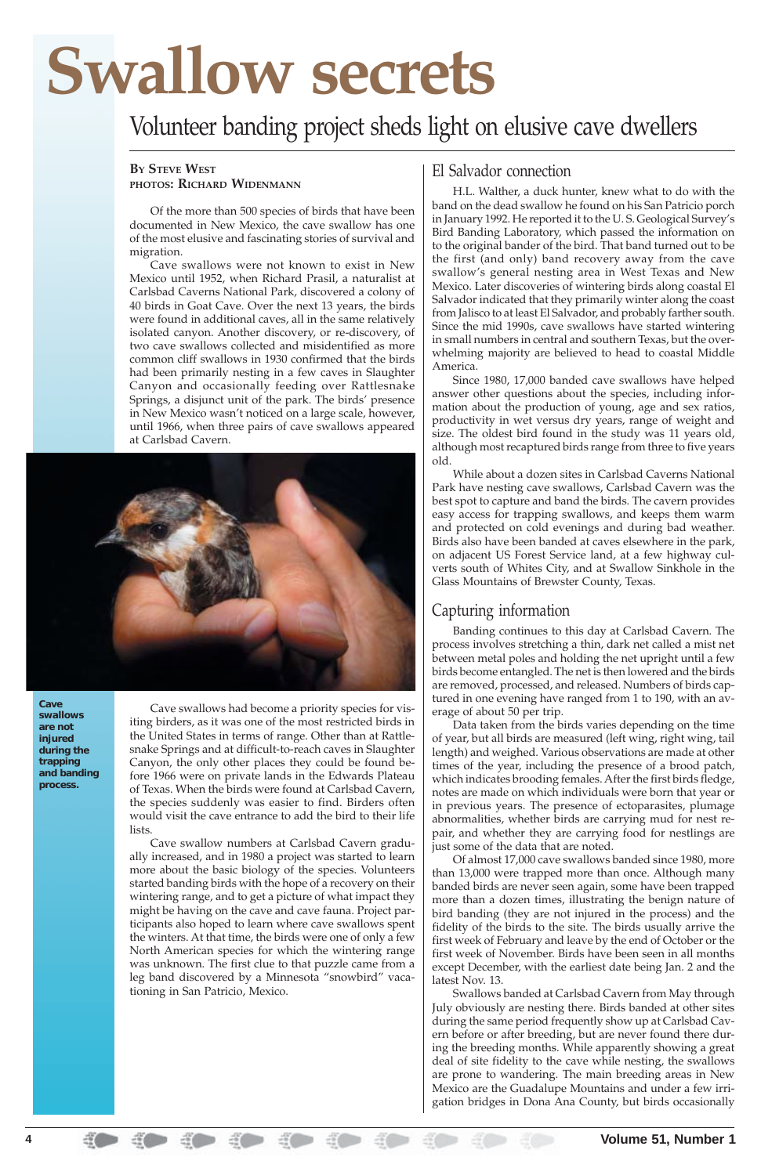#### **BY STEVE WEST PHOTOS: RICHARD WIDENMANN**

Of the more than 500 species of birds that have been documented in New Mexico, the cave swallow has one of the most elusive and fascinating stories of survival and migration.

Cave swallows were not known to exist in New Mexico until 1952, when Richard Prasil, a naturalist at Carlsbad Caverns National Park, discovered a colony of 40 birds in Goat Cave. Over the next 13 years, the birds were found in additional caves, all in the same relatively isolated canyon. Another discovery, or re-discovery, of two cave swallows collected and misidentified as more common cliff swallows in 1930 confirmed that the birds had been primarily nesting in a few caves in Slaughter Canyon and occasionally feeding over Rattlesnake Springs, a disjunct unit of the park. The birds' presence in New Mexico wasn't noticed on a large scale, however, until 1966, when three pairs of cave swallows appeared at Carlsbad Cavern.



Cave swallows had become a priority species for visiting birders, as it was one of the most restricted birds in the United States in terms of range. Other than at Rattlesnake Springs and at difficult-to-reach caves in Slaughter Canyon, the only other places they could be found before 1966 were on private lands in the Edwards Plateau of Texas. When the birds were found at Carlsbad Cavern, the species suddenly was easier to find. Birders often would visit the cave entrance to add the bird to their life lists.

Cave swallow numbers at Carlsbad Cavern gradually increased, and in 1980 a project was started to learn

more about the basic biology of the species. Volunteers started banding birds with the hope of a recovery on their wintering range, and to get a picture of what impact they might be having on the cave and cave fauna. Project participants also hoped to learn where cave swallows spent the winters. At that time, the birds were one of only a few North American species for which the wintering range was unknown. The first clue to that puzzle came from a leg band discovered by a Minnesota "snowbird" vacationing in San Patricio, Mexico.

## El Salvador connection

H.L. Walther, a duck hunter, knew what to do with the band on the dead swallow he found on his San Patricio porch in January 1992. He reported it to the U. S. Geological Survey's Bird Banding Laboratory, which passed the information on to the original bander of the bird. That band turned out to be the first (and only) band recovery away from the cave swallow's general nesting area in West Texas and New Mexico. Later discoveries of wintering birds along coastal El Salvador indicated that they primarily winter along the coast from Jalisco to at least El Salvador, and probably farther south. Since the mid 1990s, cave swallows have started wintering in small numbers in central and southern Texas, but the overwhelming majority are believed to head to coastal Middle America.

Since 1980, 17,000 banded cave swallows have helped answer other questions about the species, including information about the production of young, age and sex ratios, productivity in wet versus dry years, range of weight and size. The oldest bird found in the study was 11 years old, although most recaptured birds range from three to five years old.

While about a dozen sites in Carlsbad Caverns National Park have nesting cave swallows, Carlsbad Cavern was the best spot to capture and band the birds. The cavern provides easy access for trapping swallows, and keeps them warm and protected on cold evenings and during bad weather. Birds also have been banded at caves elsewhere in the park, on adjacent US Forest Service land, at a few highway culverts south of Whites City, and at Swallow Sinkhole in the Glass Mountains of Brewster County, Texas.

### Capturing information

Banding continues to this day at Carlsbad Cavern. The process involves stretching a thin, dark net called a mist net between metal poles and holding the net upright until a few birds become entangled. The net is then lowered and the birds are removed, processed, and released. Numbers of birds captured in one evening have ranged from 1 to 190, with an average of about 50 per trip.

Data taken from the birds varies depending on the time of year, but all birds are measured (left wing, right wing, tail length) and weighed. Various observations are made at other times of the year, including the presence of a brood patch, which indicates brooding females. After the first birds fledge, notes are made on which individuals were born that year or in previous years. The presence of ectoparasites, plumage abnormalities, whether birds are carrying mud for nest repair, and whether they are carrying food for nestlings are just some of the data that are noted.

Of almost 17,000 cave swallows banded since 1980, more

than 13,000 were trapped more than once. Although many banded birds are never seen again, some have been trapped more than a dozen times, illustrating the benign nature of bird banding (they are not injured in the process) and the fidelity of the birds to the site. The birds usually arrive the first week of February and leave by the end of October or the first week of November. Birds have been seen in all months except December, with the earliest date being Jan. 2 and the latest Nov. 13.

Swallows banded at Carlsbad Cavern from May through July obviously are nesting there. Birds banded at other sites during the same period frequently show up at Carlsbad Cavern before or after breeding, but are never found there during the breeding months. While apparently showing a great deal of site fidelity to the cave while nesting, the swallows are prone to wandering. The main breeding areas in New Mexico are the Guadalupe Mountains and under a few irrigation bridges in Dona Ana County, but birds occasionally

# **Swallow secrets**

## Volunteer banding project sheds light on elusive cave dwellers

**Cave swallows are not injured during the trapping and banding process.**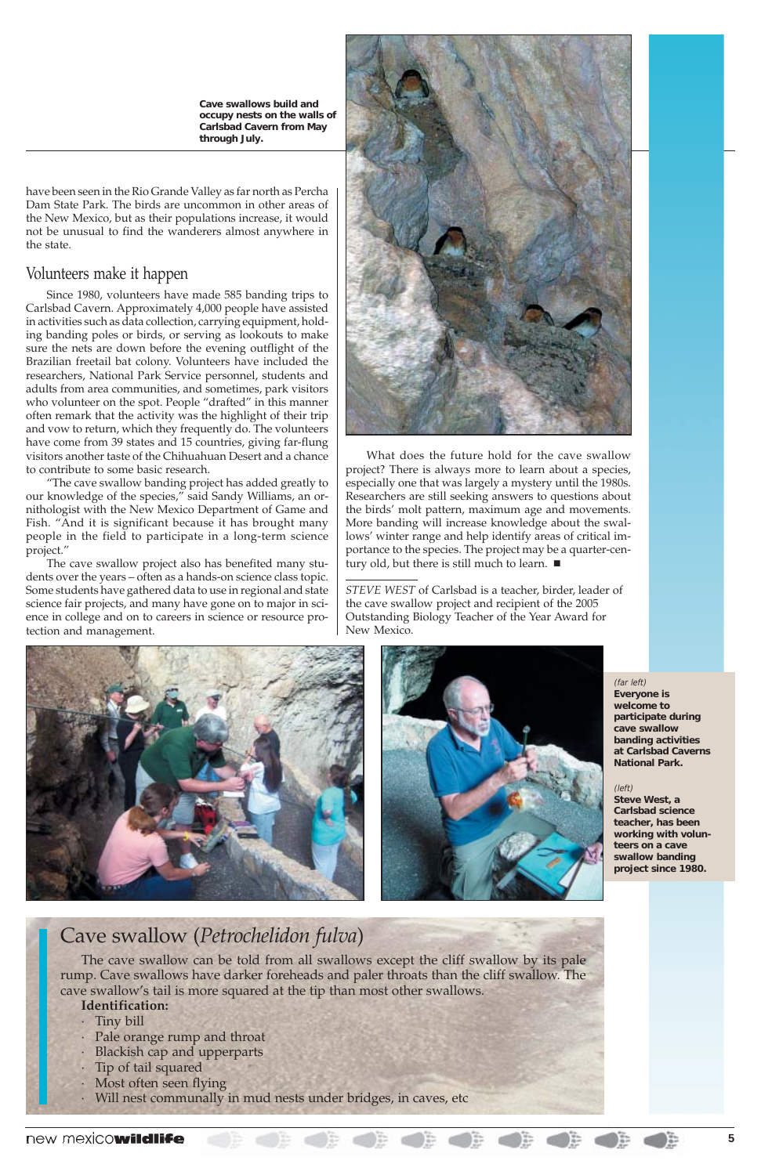have been seen in the Rio Grande Valley as far north as Percha Dam State Park. The birds are uncommon in other areas of the New Mexico, but as their populations increase, it would not be unusual to find the wanderers almost anywhere in the state.

### Volunteers make it happen

Since 1980, volunteers have made 585 banding trips to Carlsbad Cavern. Approximately 4,000 people have assisted in activities such as data collection, carrying equipment, holding banding poles or birds, or serving as lookouts to make sure the nets are down before the evening outflight of the Brazilian freetail bat colony. Volunteers have included the researchers, National Park Service personnel, students and adults from area communities, and sometimes, park visitors who volunteer on the spot. People "drafted" in this manner often remark that the activity was the highlight of their trip and vow to return, which they frequently do. The volunteers have come from 39 states and 15 countries, giving far-flung visitors another taste of the Chihuahuan Desert and a chance to contribute to some basic research.

What does the future hold for the cave swallow project? There is always more to learn about a species, especially one that was largely a mystery until the 1980s. Researchers are still seeking answers to questions about the birds' molt pattern, maximum age and movements. More banding will increase knowledge about the swallows' winter range and help identify areas of critical importance to the species. The project may be a quarter-century old, but there is still much to learn.  $\blacksquare$ 

"The cave swallow banding project has added greatly to our knowledge of the species," said Sandy Williams, an ornithologist with the New Mexico Department of Game and Fish. "And it is significant because it has brought many people in the field to participate in a long-term science project."

The cave swallow project also has benefited many students over the years – often as a hands-on science class topic. Some students have gathered data to use in regional and state science fair projects, and many have gone on to major in science in college and on to careers in science or resource protection and management.



## Cave swallow (*Petrochelidon fulva*)

The cave swallow can be told from all swallows except the cliff swallow by its pale rump. Cave swallows have darker foreheads and paler throats than the cliff swallow. The cave swallow's tail is more squared at the tip than most other swallows. **Identification:**

- · Tiny bill
- · Pale orange rump and throat
- · Blackish cap and upperparts
- · Tip of tail squared
- · Most often seen flying
- · Will nest communally in mud nests under bridges, in caves, etc

### new mexicowildlife

*STEVE WEST* of Carlsbad is a teacher, birder, leader of the cave swallow project and recipient of the 2005 Outstanding Biology Teacher of the Year Award for New Mexico.





**Cave swallows build and occupy nests on the walls of Carlsbad Cavern from May through July.**

> (far left) **Everyone is welcome to participate during cave swallow banding activities at Carlsbad Caverns National Park.**

#### (left)

 $\begin{array}{c} \begin{array}{c} \begin{array}{c} \begin{array}{c} \end{array} \\ \end{array} \\ \begin{array}{c} \end{array} \end{array} \end{array} \end{array}$ 

**Steve West, a Carlsbad science teacher, has been working with volunteers on a cave swallow banding**

**project since 1980.**

 $\bigcirc$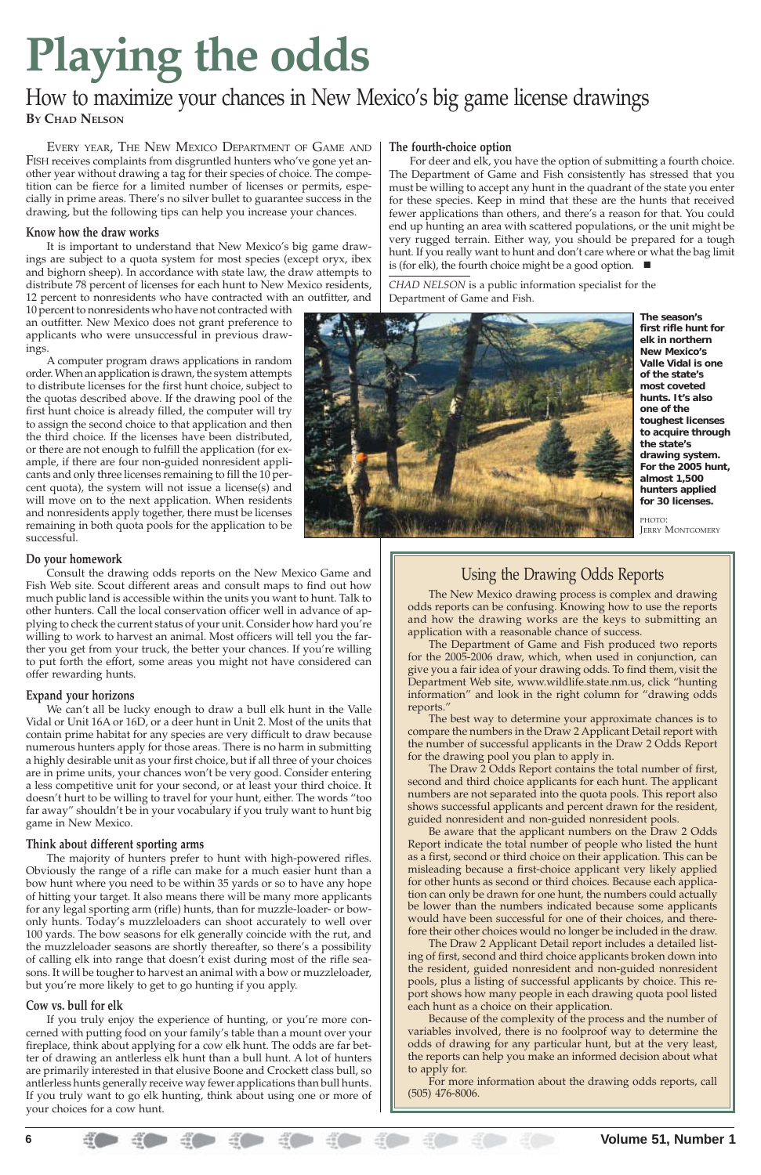EVERY YEAR, THE NEW MEXICO DEPARTMENT OF GAME AND FISH receives complaints from disgruntled hunters who've gone yet another year without drawing a tag for their species of choice. The competition can be fierce for a limited number of licenses or permits, especially in prime areas. There's no silver bullet to guarantee success in the drawing, but the following tips can help you increase your chances.

#### **Know how the draw works**

It is important to understand that New Mexico's big game drawings are subject to a quota system for most species (except oryx, ibex and bighorn sheep). In accordance with state law, the draw attempts to distribute 78 percent of licenses for each hunt to New Mexico residents, 12 percent to nonresidents who have contracted with an outfitter, and

10 percent to nonresidents who have not contracted with an outfitter. New Mexico does not grant preference to applicants who were unsuccessful in previous drawings.

A computer program draws applications in random order. When an application is drawn, the system attempts to distribute licenses for the first hunt choice, subject to the quotas described above. If the drawing pool of the first hunt choice is already filled, the computer will try to assign the second choice to that application and then the third choice. If the licenses have been distributed, or there are not enough to fulfill the application (for example, if there are four non-guided nonresident applicants and only three licenses remaining to fill the 10 percent quota), the system will not issue a license(s) and will move on to the next application. When residents and nonresidents apply together, there must be licenses remaining in both quota pools for the application to be successful.

#### **Do your homework**

Consult the drawing odds reports on the New Mexico Game and Fish Web site. Scout different areas and consult maps to find out how much public land is accessible within the units you want to hunt. Talk to other hunters. Call the local conservation officer well in advance of applying to check the current status of your unit. Consider how hard you're willing to work to harvest an animal. Most officers will tell you the farther you get from your truck, the better your chances. If you're willing to put forth the effort, some areas you might not have considered can offer rewarding hunts.

For deer and elk, you have the option of submitting a fourth choice. The Department of Game and Fish consistently has stressed that you must be willing to accept any hunt in the quadrant of the state you enter for these species. Keep in mind that these are the hunts that received fewer applications than others, and there's a reason for that. You could end up hunting an area with scattered populations, or the unit might be very rugged terrain. Either way, you should be prepared for a tough hunt. If you really want to hunt and don't care where or what the bag limit is (for elk), the fourth choice might be a good option.  $\blacksquare$ 

#### **Expand your horizons**

We can't all be lucky enough to draw a bull elk hunt in the Valle Vidal or Unit 16A or 16D, or a deer hunt in Unit 2. Most of the units that contain prime habitat for any species are very difficult to draw because numerous hunters apply for those areas. There is no harm in submitting a highly desirable unit as your first choice, but if all three of your choices are in prime units, your chances won't be very good. Consider entering a less competitive unit for your second, or at least your third choice. It doesn't hurt to be willing to travel for your hunt, either. The words "too far away" shouldn't be in your vocabulary if you truly want to hunt big game in New Mexico.

PHOTO: **JERRY MONTGOMERY** 

#### **Think about different sporting arms**

The majority of hunters prefer to hunt with high-powered rifles.

Obviously the range of a rifle can make for a much easier hunt than a bow hunt where you need to be within 35 yards or so to have any hope of hitting your target. It also means there will be many more applicants for any legal sporting arm (rifle) hunts, than for muzzle-loader- or bowonly hunts. Today's muzzleloaders can shoot accurately to well over 100 yards. The bow seasons for elk generally coincide with the rut, and the muzzleloader seasons are shortly thereafter, so there's a possibility of calling elk into range that doesn't exist during most of the rifle seasons. It will be tougher to harvest an animal with a bow or muzzleloader, but you're more likely to get to go hunting if you apply.

#### **Cow vs. bull for elk**

If you truly enjoy the experience of hunting, or you're more concerned with putting food on your family's table than a mount over your fireplace, think about applying for a cow elk hunt. The odds are far better of drawing an antlerless elk hunt than a bull hunt. A lot of hunters are primarily interested in that elusive Boone and Crockett class bull, so antlerless hunts generally receive way fewer applications than bull hunts. If you truly want to go elk hunting, think about using one or more of your choices for a cow hunt.

#### **The fourth-choice option**

*CHAD NELSON* is a public information specialist for the Department of Game and Fish.



## **Playing the odds**

## How to maximize your chances in New Mexico's big game license drawings **BY CHAD NELSON**

**The season's first rifle hunt for elk in northern New Mexico's Valle Vidal is one of the state's most coveted hunts. It's also one of the toughest licenses to acquire through the state's drawing system. For the 2005 hunt, almost 1,500 hunters applied for 30 licenses.**

## Using the Drawing Odds Reports

The New Mexico drawing process is complex and drawing odds reports can be confusing. Knowing how to use the reports and how the drawing works are the keys to submitting an application with a reasonable chance of success.

The Department of Game and Fish produced two reports for the 2005-2006 draw, which, when used in conjunction, can give you a fair idea of your drawing odds. To find them, visit the Department Web site, www.wildlife.state.nm.us, click "hunting information" and look in the right column for "drawing odds reports."

The best way to determine your approximate chances is to compare the numbers in the Draw 2 Applicant Detail report with the number of successful applicants in the Draw 2 Odds Report for the drawing pool you plan to apply in.

The Draw 2 Odds Report contains the total number of first, second and third choice applicants for each hunt. The applicant numbers are not separated into the quota pools. This report also shows successful applicants and percent drawn for the resident, guided nonresident and non-guided nonresident pools.

Be aware that the applicant numbers on the Draw 2 Odds Report indicate the total number of people who listed the hunt as a first, second or third choice on their application. This can be misleading because a first-choice applicant very likely applied for other hunts as second or third choices. Because each application can only be drawn for one hunt, the numbers could actually be lower than the numbers indicated because some applicants would have been successful for one of their choices, and therefore their other choices would no longer be included in the draw. The Draw 2 Applicant Detail report includes a detailed listing of first, second and third choice applicants broken down into the resident, guided nonresident and non-guided nonresident pools, plus a listing of successful applicants by choice. This report shows how many people in each drawing quota pool listed each hunt as a choice on their application. Because of the complexity of the process and the number of variables involved, there is no foolproof way to determine the odds of drawing for any particular hunt, but at the very least, the reports can help you make an informed decision about what to apply for.

For more information about the drawing odds reports, call (505) 476-8006.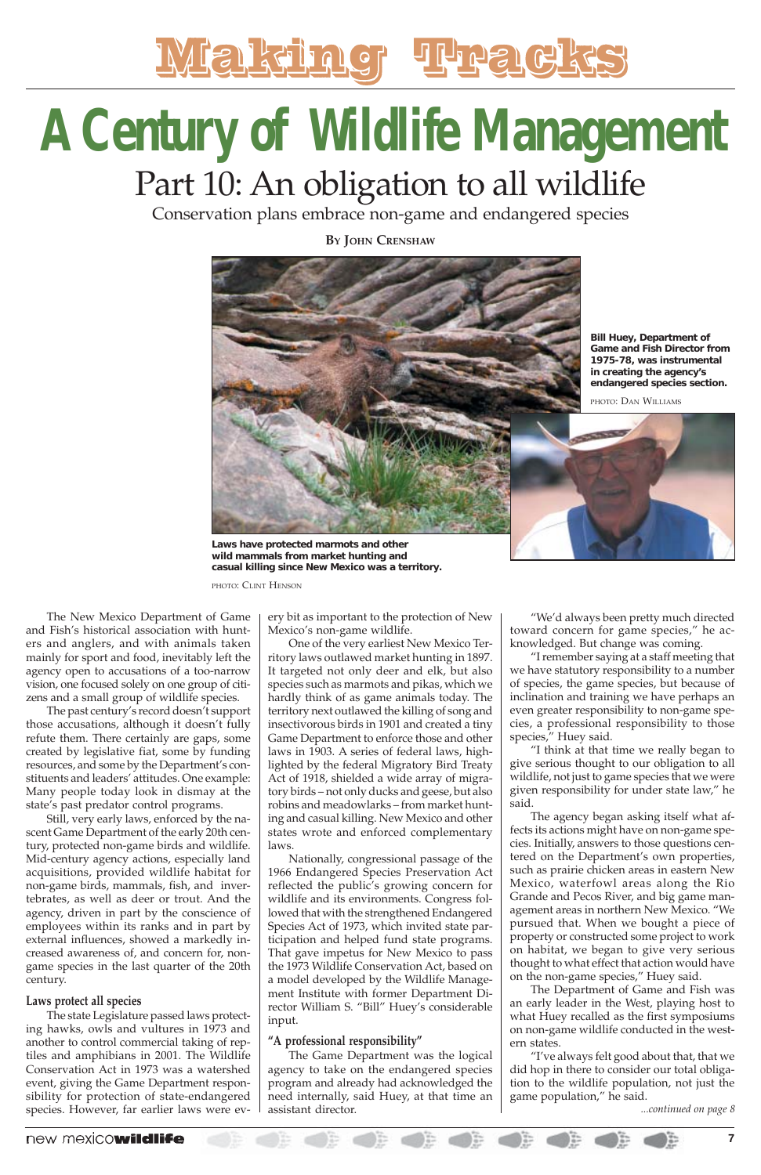The New Mexico Department of Game and Fish's historical association with hunters and anglers, and with animals taken mainly for sport and food, inevitably left the agency open to accusations of a too-narrow vision, one focused solely on one group of citizens and a small group of wildlife species.

The past century's record doesn't support those accusations, although it doesn't fully refute them. There certainly are gaps, some created by legislative fiat, some by funding resources, and some by the Department's constituents and leaders' attitudes. One example: Many people today look in dismay at the state's past predator control programs.

Still, very early laws, enforced by the nascent Game Department of the early 20th century, protected non-game birds and wildlife. Mid-century agency actions, especially land acquisitions, provided wildlife habitat for non-game birds, mammals, fish, and invertebrates, as well as deer or trout. And the agency, driven in part by the conscience of employees within its ranks and in part by external influences, showed a markedly increased awareness of, and concern for, nongame species in the last quarter of the 20th century.

#### **Laws protect all species**

The state Legislature passed laws protecting hawks, owls and vultures in 1973 and another to control commercial taking of reptiles and amphibians in 2001. The Wildlife Conservation Act in 1973 was a watershed event, giving the Game Department responsibility for protection of state-endangered species. However, far earlier laws were ev-

ery bit as important to the protection of New Mexico's non-game wildlife.

One of the very earliest New Mexico Territory laws outlawed market hunting in 1897. It targeted not only deer and elk, but also species such as marmots and pikas, which we hardly think of as game animals today. The territory next outlawed the killing of song and insectivorous birds in 1901 and created a tiny Game Department to enforce those and other laws in 1903. A series of federal laws, highlighted by the federal Migratory Bird Treaty Act of 1918, shielded a wide array of migratory birds – not only ducks and geese, but also robins and meadowlarks – from market hunting and casual killing. New Mexico and other states wrote and enforced complementary laws.

*...continued on page 8* The agency began asking itself what affects its actions might have on non-game species. Initially, answers to those questions centered on the Department's own properties, such as prairie chicken areas in eastern New Mexico, waterfowl areas along the Rio Grande and Pecos River, and big game management areas in northern New Mexico. "We pursued that. When we bought a piece of property or constructed some project to work on habitat, we began to give very serious thought to what effect that action would have on the non-game species," Huey said. The Department of Game and Fish was an early leader in the West, playing host to what Huey recalled as the first symposiums on non-game wildlife conducted in the western states. "I've always felt good about that, that we did hop in there to consider our total obligation to the wildlife population, not just the game population," he said.

Nationally, congressional passage of the 1966 Endangered Species Preservation Act reflected the public's growing concern for wildlife and its environments. Congress followed that with the strengthened Endangered Species Act of 1973, which invited state participation and helped fund state programs. That gave impetus for New Mexico to pass the 1973 Wildlife Conservation Act, based on a model developed by the Wildlife Management Institute with former Department Director William S. "Bill" Huey's considerable input.

#### **"A professional responsibility"**

The Game Department was the logical agency to take on the endangered species program and already had acknowledged the need internally, said Huey, at that time an assistant director.

### new mexicowildlife

"We'd always been pretty much directed toward concern for game species," he acknowledged. But change was coming.

"I remember saying at a staff meeting that we have statutory responsibility to a number of species, the game species, but because of inclination and training we have perhaps an even greater responsibility to non-game species, a professional responsibility to those species," Huey said.

"I think at that time we really began to give serious thought to our obligation to all wildlife, not just to game species that we were given responsibility for under state law," he said.



## **A Century of Wildlife Management** Part 10: An obligation to all wildlife

Conservation plans embrace non-game and endangered species

**BY JOHN CRENSHAW**



**Laws have protected marmots and other wild mammals from market hunting and casual killing since New Mexico was a territory.**

PHOTO: CLINT HENSON

**Bill Huey, Department of Game and Fish Director from 1975-78, was instrumental in creating the agency's endangered species section.**

PHOTO: DAN WILLIAMS

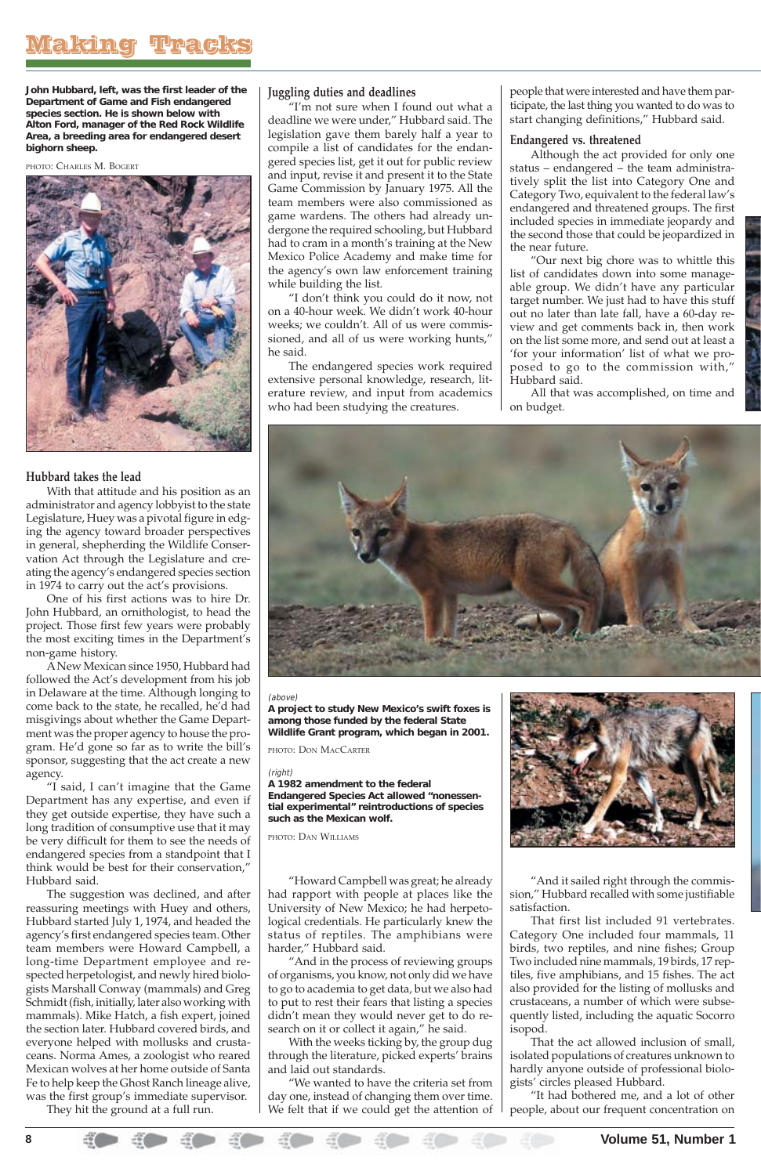#### **Hubbard takes the lead**

With that attitude and his position as an administrator and agency lobbyist to the state Legislature, Huey was a pivotal figure in edging the agency toward broader perspectives in general, shepherding the Wildlife Conservation Act through the Legislature and creating the agency's endangered species section in 1974 to carry out the act's provisions.

One of his first actions was to hire Dr. John Hubbard, an ornithologist, to head the project. Those first few years were probably the most exciting times in the Department's non-game history.

think would be best for their conservation," Hubbard said.

A New Mexican since 1950, Hubbard had followed the Act's development from his job in Delaware at the time. Although longing to come back to the state, he recalled, he'd had misgivings about whether the Game Department was the proper agency to house the program. He'd gone so far as to write the bill's sponsor, suggesting that the act create a new agency.

"I said, I can't imagine that the Game Department has any expertise, and even if they get outside expertise, they have such a long tradition of consumptive use that it may be very difficult for them to see the needs of endangered species from a standpoint that I

The suggestion was declined, and after reassuring meetings with Huey and others, Hubbard started July 1, 1974, and headed the agency's first endangered species team. Other team members were Howard Campbell, a long-time Department employee and respected herpetologist, and newly hired biologists Marshall Conway (mammals) and Greg Schmidt (fish, initially, later also working with mammals). Mike Hatch, a fish expert, joined the section later. Hubbard covered birds, and everyone helped with mollusks and crustaceans. Norma Ames, a zoologist who reared Mexican wolves at her home outside of Santa Fe to help keep the Ghost Ranch lineage alive, was the first group's immediate supervisor. They hit the ground at a full run.

#### **Juggling duties and deadlines**

"I'm not sure when I found out what a deadline we were under," Hubbard said. The legislation gave them barely half a year to compile a list of candidates for the endangered species list, get it out for public review and input, revise it and present it to the State Game Commission by January 1975. All the team members were also commissioned as game wardens. The others had already undergone the required schooling, but Hubbard had to cram in a month's training at the New Mexico Police Academy and make time for the agency's own law enforcement training while building the list.

"I don't think you could do it now, not on a 40-hour week. We didn't work 40-hour weeks; we couldn't. All of us were commissioned, and all of us were working hunts," he said.

The endangered species work required extensive personal knowledge, research, literature review, and input from academics who had been studying the creatures.

"Howard Campbell was great; he already had rapport with people at places like the University of New Mexico; he had herpetological credentials. He particularly knew the status of reptiles. The amphibians were harder," Hubbard said.

"And in the process of reviewing groups of organisms, you know, not only did we have to go to academia to get data, but we also had to put to rest their fears that listing a species didn't mean they would never get to do research on it or collect it again," he said.

With the weeks ticking by, the group dug through the literature, picked experts' brains and laid out standards.

"We wanted to have the criteria set from day one, instead of changing them over time. We felt that if we could get the attention of

people that were interested and have them participate, the last thing you wanted to do was to start changing definitions," Hubbard said.

#### **Endangered vs. threatened**

Although the act provided for only one status – endangered – the team administratively split the list into Category One and Category Two, equivalent to the federal law's endangered and threatened groups. The first included species in immediate jeopardy and the second those that could be jeopardized in the near future.

"Our next big chore was to whittle this list of candidates down into some manageable group. We didn't have any particular target number. We just had to have this stuff out no later than late fall, have a 60-day review and get comments back in, then work on the list some more, and send out at least a 'for your information' list of what we proposed to go to the commission with," Hubbard said.

All that was accomplished, on time and on budget.



"And it sailed right through the commission," Hubbard recalled with some justifiable satisfaction.

That first list included 91 vertebrates. Category One included four mammals, 11 birds, two reptiles, and nine fishes; Group Two included nine mammals, 19 birds, 17 reptiles, five amphibians, and 15 fishes. The act also provided for the listing of mollusks and crustaceans, a number of which were subsequently listed, including the aquatic Socorro isopod.

That the act allowed inclusion of small, isolated populations of creatures unknown to hardly anyone outside of professional biologists' circles pleased Hubbard.

"It had bothered me, and a lot of other people, about our frequent concentration on

**John Hubbard, left, was the first leader of the Department of Game and Fish endangered species section. He is shown below with Alton Ford, manager of the Red Rock Wildlife Area, a breeding area for endangered desert bighorn sheep.**

#### PHOTO: CHARLES M. BOGERT



#### (above)

**A project to study New Mexico's swift foxes is among those funded by the federal State Wildlife Grant program, which began in 2001.**

PHOTO: DON MACCARTER

#### (right)

**A 1982 amendment to the federal**

**Endangered Species Act allowed "nonessential experimental" reintroductions of species such as the Mexican wolf.**

PHOTO: DAN WILLIAMS

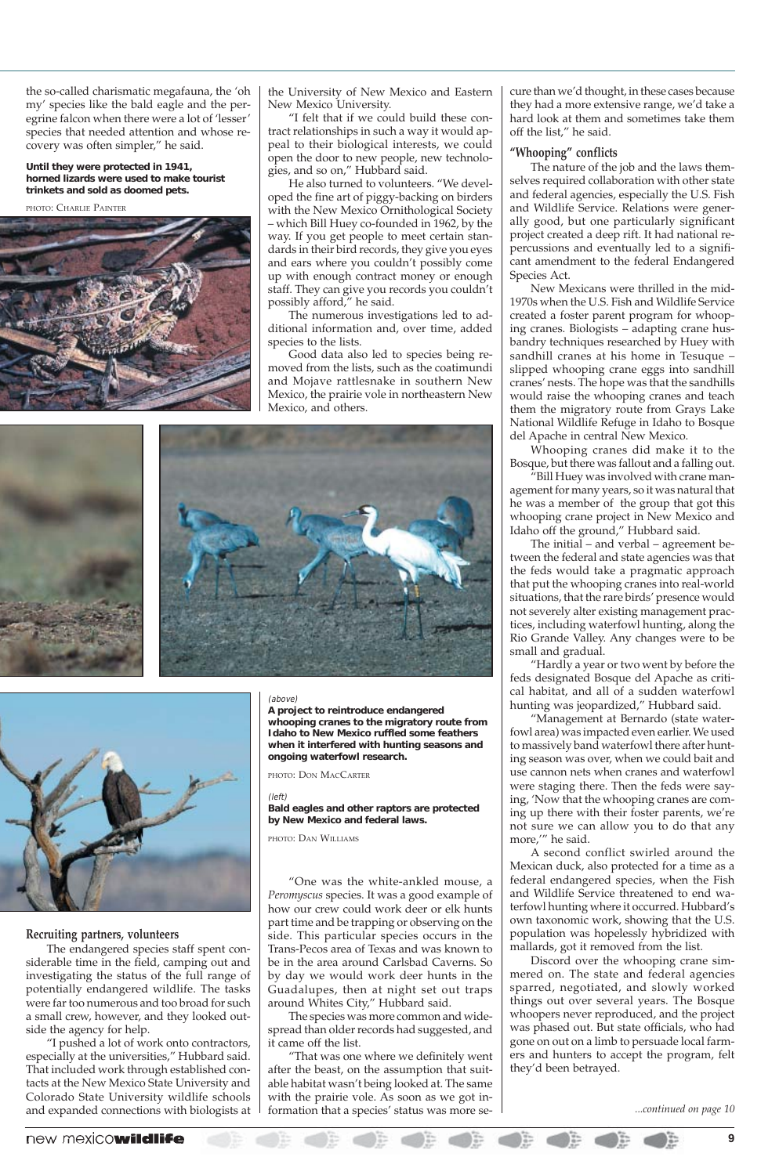the so-called charismatic megafauna, the 'oh my' species like the bald eagle and the peregrine falcon when there were a lot of 'lesser' species that needed attention and whose recovery was often simpler," he said.

#### **Recruiting partners, volunteers**

The endangered species staff spent considerable time in the field, camping out and investigating the status of the full range of potentially endangered wildlife. The tasks were far too numerous and too broad for such a small crew, however, and they looked outside the agency for help.

"I pushed a lot of work onto contractors, especially at the universities," Hubbard said. That included work through established contacts at the New Mexico State University and Colorado State University wildlife schools and expanded connections with biologists at

the University of New Mexico and Eastern New Mexico University.

"I felt that if we could build these contract relationships in such a way it would appeal to their biological interests, we could open the door to new people, new technologies, and so on," Hubbard said.

He also turned to volunteers. "We developed the fine art of piggy-backing on birders with the New Mexico Ornithological Society – which Bill Huey co-founded in 1962, by the way. If you get people to meet certain standards in their bird records, they give you eyes and ears where you couldn't possibly come up with enough contract money or enough staff. They can give you records you couldn't possibly afford," he said.

The numerous investigations led to additional information and, over time, added species to the lists.

Good data also led to species being removed from the lists, such as the coatimundi and Mojave rattlesnake in southern New Mexico, the prairie vole in northeastern New Mexico, and others.





"One was the white-ankled mouse, a *Peromyscus* species. It was a good example of how our crew could work deer or elk hunts part time and be trapping or observing on the side. This particular species occurs in the Trans-Pecos area of Texas and was known to be in the area around Carlsbad Caverns. So by day we would work deer hunts in the Guadalupes, then at night set out traps around Whites City," Hubbard said.

The species was more common and widespread than older records had suggested, and it came off the list.

"That was one where we definitely went after the beast, on the assumption that suitable habitat wasn't being looked at. The same with the prairie vole. As soon as we got information that a species' status was more secure than we'd thought, in these cases because they had a more extensive range, we'd take a hard look at them and sometimes take them off the list," he said.

#### **"Whooping" conflicts**

The nature of the job and the laws themselves required collaboration with other state and federal agencies, especially the U.S. Fish and Wildlife Service. Relations were generally good, but one particularly significant project created a deep rift. It had national repercussions and eventually led to a significant amendment to the federal Endangered Species Act.

New Mexicans were thrilled in the mid-1970s when the U.S. Fish and Wildlife Service created a foster parent program for whooping cranes. Biologists – adapting crane husbandry techniques researched by Huey with sandhill cranes at his home in Tesuque – slipped whooping crane eggs into sandhill cranes' nests. The hope was that the sandhills would raise the whooping cranes and teach them the migratory route from Grays Lake National Wildlife Refuge in Idaho to Bosque del Apache in central New Mexico.

Whooping cranes did make it to the Bosque, but there was fallout and a falling out.

"Bill Huey was involved with crane management for many years, so it was natural that he was a member of the group that got this whooping crane project in New Mexico and Idaho off the ground," Hubbard said.

The initial – and verbal – agreement between the federal and state agencies was that the feds would take a pragmatic approach that put the whooping cranes into real-world situations, that the rare birds' presence would not severely alter existing management practices, including waterfowl hunting, along the Rio Grande Valley. Any changes were to be small and gradual.

"Hardly a year or two went by before the feds designated Bosque del Apache as critical habitat, and all of a sudden waterfowl hunting was jeopardized," Hubbard said.

"Management at Bernardo (state waterfowl area) was impacted even earlier. We used to massively band waterfowl there after hunting season was over, when we could bait and use cannon nets when cranes and waterfowl were staging there. Then the feds were saying, 'Now that the whooping cranes are coming up there with their foster parents, we're not sure we can allow you to do that any more,'" he said.

A second conflict swirled around the Mexican duck, also protected for a time as a federal endangered species, when the Fish and Wildlife Service threatened to end waterfowl hunting where it occurred. Hubbard's own taxonomic work, showing that the U.S. population was hopelessly hybridized with mallards, got it removed from the list. Discord over the whooping crane simmered on. The state and federal agencies sparred, negotiated, and slowly worked things out over several years. The Bosque whoopers never reproduced, and the project was phased out. But state officials, who had gone on out on a limb to persuade local farmers and hunters to accept the program, felt they'd been betrayed.

#### **Until they were protected in 1941, horned lizards were used to make tourist trinkets and sold as doomed pets.**

PHOTO: CHARLIE PAINTER



#### (above)

**A project to reintroduce endangered whooping cranes to the migratory route from Idaho to New Mexico ruffled some feathers when it interfered with hunting seasons and ongoing waterfowl research.**

PHOTO: DON MACCARTER

#### (left)

**Bald eagles and other raptors are protected by New Mexico and federal laws.**

PHOTO: DAN WILLIAMS

*...continued on page 10*

### new mexicowildlife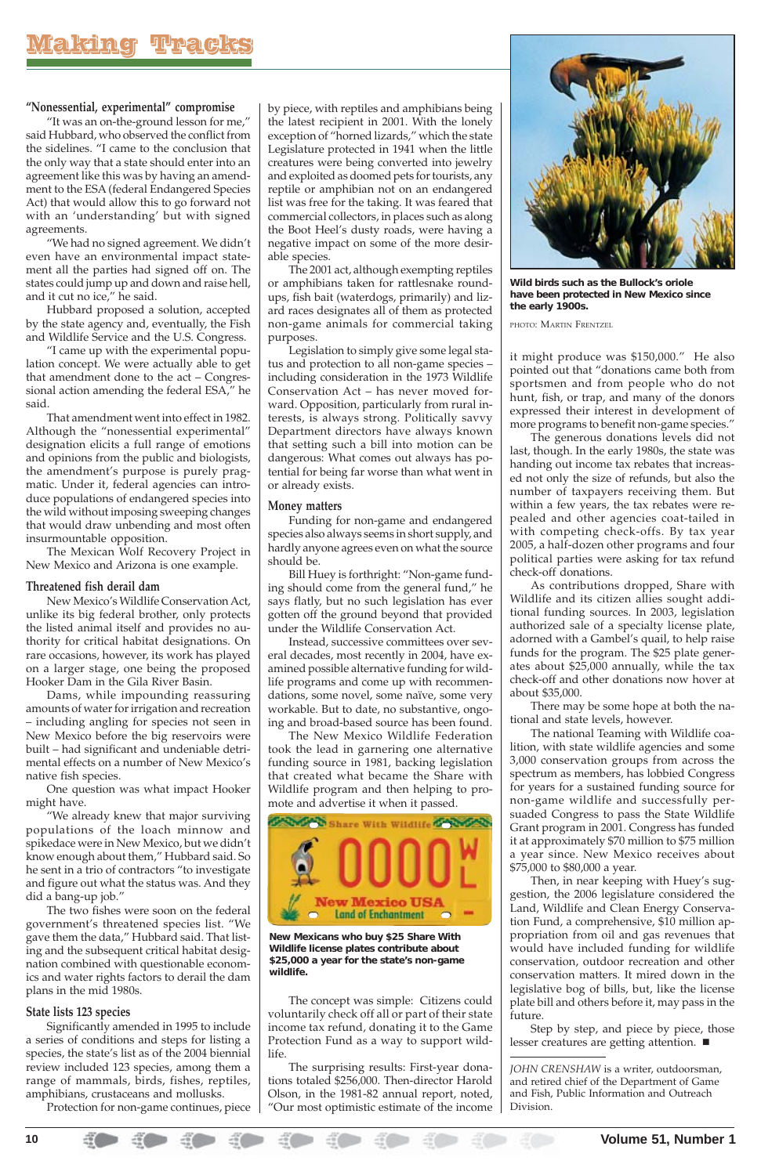

by piece, with reptiles and amphibians being the latest recipient in 2001. With the lonely exception of "horned lizards," which the state Legislature protected in 1941 when the little creatures were being converted into jewelry and exploited as doomed pets for tourists, any reptile or amphibian not on an endangered list was free for the taking. It was feared that commercial collectors, in places such as along the Boot Heel's dusty roads, were having a negative impact on some of the more desirable species.

The 2001 act, although exempting reptiles or amphibians taken for rattlesnake roundups, fish bait (waterdogs, primarily) and lizard races designates all of them as protected non-game animals for commercial taking purposes.

Legislation to simply give some legal status and protection to all non-game species – including consideration in the 1973 Wildlife Conservation Act – has never moved forward. Opposition, particularly from rural interests, is always strong. Politically savvy Department directors have always known that setting such a bill into motion can be dangerous: What comes out always has potential for being far worse than what went in or already exists.

#### **Money matters**

Funding for non-game and endangered species also always seems in short supply, and hardly anyone agrees even on what the source should be.

Bill Huey is forthright: "Non-game funding should come from the general fund," he says flatly, but no such legislation has ever gotten off the ground beyond that provided under the Wildlife Conservation Act.

Instead, successive committees over several decades, most recently in 2004, have examined possible alternative funding for wildlife programs and come up with recommendations, some novel, some naïve, some very workable. But to date, no substantive, ongoing and broad-based source has been found.

The New Mexico Wildlife Federation took the lead in garnering one alternative funding source in 1981, backing legislation that created what became the Share with Wildlife program and then helping to promote and advertise it when it passed.



The concept was simple: Citizens could voluntarily check off all or part of their state income tax refund, donating it to the Game Protection Fund as a way to support wildlife.

The surprising results: First-year donations totaled \$256,000. Then-director Harold Olson, in the 1981-82 annual report, noted, "Our most optimistic estimate of the income

#### **"Nonessential, experimental" compromise**

"It was an on-the-ground lesson for me," said Hubbard, who observed the conflict from the sidelines. "I came to the conclusion that the only way that a state should enter into an agreement like this was by having an amendment to the ESA (federal Endangered Species Act) that would allow this to go forward not with an 'understanding' but with signed agreements.

"We had no signed agreement. We didn't even have an environmental impact statement all the parties had signed off on. The states could jump up and down and raise hell, and it cut no ice," he said.

Hubbard proposed a solution, accepted by the state agency and, eventually, the Fish and Wildlife Service and the U.S. Congress.

"I came up with the experimental population concept. We were actually able to get that amendment done to the act – Congressional action amending the federal ESA," he said.

That amendment went into effect in 1982. Although the "nonessential experimental" designation elicits a full range of emotions and opinions from the public and biologists, the amendment's purpose is purely pragmatic. Under it, federal agencies can introduce populations of endangered species into the wild without imposing sweeping changes that would draw unbending and most often insurmountable opposition.

> Step by step, and piece by piece, those lesser creatures are getting attention.  $\blacksquare$

The Mexican Wolf Recovery Project in New Mexico and Arizona is one example.

#### **Threatened fish derail dam**

New Mexico's Wildlife Conservation Act, unlike its big federal brother, only protects the listed animal itself and provides no authority for critical habitat designations. On rare occasions, however, its work has played on a larger stage, one being the proposed Hooker Dam in the Gila River Basin.

Dams, while impounding reassuring amounts of water for irrigation and recreation – including angling for species not seen in New Mexico before the big reservoirs were built – had significant and undeniable detrimental effects on a number of New Mexico's native fish species.

One question was what impact Hooker might have.

"We already knew that major surviving populations of the loach minnow and spikedace were in New Mexico, but we didn't know enough about them," Hubbard said. So he sent in a trio of contractors "to investigate and figure out what the status was. And they did a bang-up job." The two fishes were soon on the federal government's threatened species list. "We gave them the data," Hubbard said. That listing and the subsequent critical habitat designation combined with questionable economics and water rights factors to derail the dam plans in the mid 1980s.

#### **State lists 123 species**

Significantly amended in 1995 to include a series of conditions and steps for listing a species, the state's list as of the 2004 biennial review included 123 species, among them a range of mammals, birds, fishes, reptiles, amphibians, crustaceans and mollusks.

Protection for non-game continues, piece

it might produce was \$150,000." He also pointed out that "donations came both from sportsmen and from people who do not hunt, fish, or trap, and many of the donors expressed their interest in development of more programs to benefit non-game species."

The generous donations levels did not last, though. In the early 1980s, the state was handing out income tax rebates that increased not only the size of refunds, but also the number of taxpayers receiving them. But within a few years, the tax rebates were repealed and other agencies coat-tailed in with competing check-offs. By tax year 2005, a half-dozen other programs and four political parties were asking for tax refund check-off donations.

As contributions dropped, Share with Wildlife and its citizen allies sought additional funding sources. In 2003, legislation authorized sale of a specialty license plate, adorned with a Gambel's quail, to help raise funds for the program. The \$25 plate generates about \$25,000 annually, while the tax check-off and other donations now hover at about \$35,000.

There may be some hope at both the national and state levels, however.

The national Teaming with Wildlife coalition, with state wildlife agencies and some 3,000 conservation groups from across the spectrum as members, has lobbied Congress for years for a sustained funding source for non-game wildlife and successfully persuaded Congress to pass the State Wildlife Grant program in 2001. Congress has funded it at approximately \$70 million to \$75 million a year since. New Mexico receives about

#### \$75,000 to \$80,000 a year.

Then, in near keeping with Huey's suggestion, the 2006 legislature considered the Land, Wildlife and Clean Energy Conservation Fund, a comprehensive, \$10 million appropriation from oil and gas revenues that would have included funding for wildlife conservation, outdoor recreation and other conservation matters. It mired down in the legislative bog of bills, but, like the license plate bill and others before it, may pass in the future.

*JOHN CRENSHAW* is a writer, outdoorsman, and retired chief of the Department of Game and Fish, Public Information and Outreach Division.



**Wild birds such as the Bullock's oriole have been protected in New Mexico since the early 1900s.**

PHOTO: MARTIN FRENTZEL

**New Mexicans who buy \$25 Share With Wildlife license plates contribute about \$25,000 a year for the state's non-game wildlife.**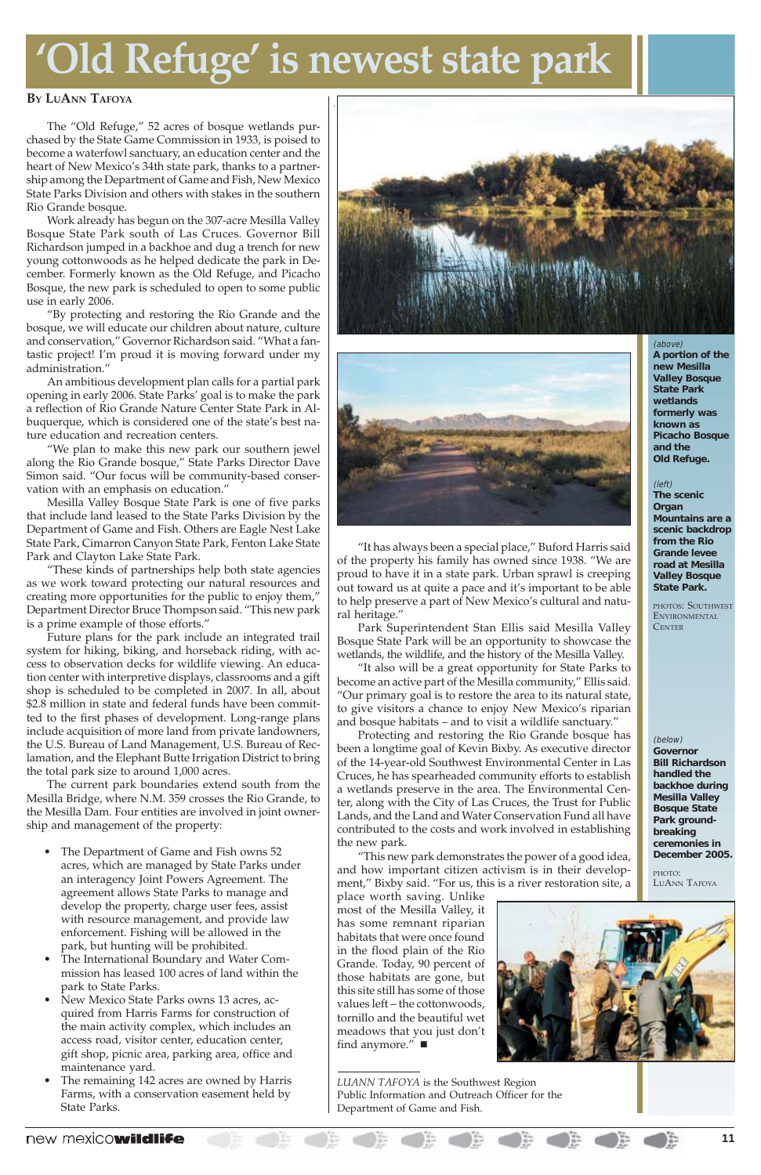

#### **BY LUANN TAFOYA**

The "Old Refuge," 52 acres of bosque wetlands purchased by the State Game Commission in 1933, is poised to become a waterfowl sanctuary, an education center and the heart of New Mexico's 34th state park, thanks to a partnership among the Department of Game and Fish, New Mexico State Parks Division and others with stakes in the southern Rio Grande bosque.

Work already has begun on the 307-acre Mesilla Valley Bosque State Park south of Las Cruces. Governor Bill Richardson jumped in a backhoe and dug a trench for new young cottonwoods as he helped dedicate the park in December. Formerly known as the Old Refuge, and Picacho Bosque, the new park is scheduled to open to some public use in early 2006.

"By protecting and restoring the Rio Grande and the bosque, we will educate our children about nature, culture and conservation," Governor Richardson said. "What a fantastic project! I'm proud it is moving forward under my administration."

An ambitious development plan calls for a partial park opening in early 2006. State Parks' goal is to make the park a reflection of Rio Grande Nature Center State Park in Albuquerque, which is considered one of the state's best nature education and recreation centers.

"We plan to make this new park our southern jewel along the Rio Grande bosque," State Parks Director Dave Simon said. "Our focus will be community-based conservation with an emphasis on education."

Mesilla Valley Bosque State Park is one of five parks that include land leased to the State Parks Division by the Department of Game and Fish. Others are Eagle Nest Lake State Park, Cimarron Canyon State Park, Fenton Lake State Park and Clayton Lake State Park.

"These kinds of partnerships help both state agencies as we work toward protecting our natural resources and creating more opportunities for the public to enjoy them," Department Director Bruce Thompson said. "This new park is a prime example of those efforts."

Future plans for the park include an integrated trail system for hiking, biking, and horseback riding, with access to observation decks for wildlife viewing. An education center with interpretive displays, classrooms and a gift shop is scheduled to be completed in 2007. In all, about \$2.8 million in state and federal funds have been committed to the first phases of development. Long-range plans include acquisition of more land from private landowners, the U.S. Bureau of Land Management, U.S. Bureau of Reclamation, and the Elephant Butte Irrigation District to bring the total park size to around 1,000 acres.

> place worth saving. Unlike most of the Mesilla Valley, it has some remnant riparian habitats that were once found in the flood plain of the Rio Grande. Today, 90 percent of those habitats are gone, but this site still has some of those values left – the cottonwoods, tornillo and the beautiful wet meadows that you just don't find anymore."  $\blacksquare$

The current park boundaries extend south from the Mesilla Bridge, where N.M. 359 crosses the Rio Grande, to the Mesilla Dam. Four entities are involved in joint ownership and management of the property:

• The Department of Game and Fish owns 52





acres, which are managed by State Parks under an interagency Joint Powers Agreement. The agreement allows State Parks to manage and develop the property, charge user fees, assist with resource management, and provide law enforcement. Fishing will be allowed in the park, but hunting will be prohibited.

- The International Boundary and Water Commission has leased 100 acres of land within the park to State Parks.
- New Mexico State Parks owns 13 acres, acquired from Harris Farms for construction of the main activity complex, which includes an access road, visitor center, education center, gift shop, picnic area, parking area, office and maintenance yard.
- The remaining 142 acres are owned by Harris Farms, with a conservation easement held by State Parks.

new mexicowildlife

"It has always been a special place," Buford Harris said of the property his family has owned since 1938. "We are proud to have it in a state park. Urban sprawl is creeping out toward us at quite a pace and it's important to be able to help preserve a part of New Mexico's cultural and natural heritage."

Park Superintendent Stan Ellis said Mesilla Valley Bosque State Park will be an opportunity to showcase the wetlands, the wildlife, and the history of the Mesilla Valley.

"It also will be a great opportunity for State Parks to become an active part of the Mesilla community," Ellis said. "Our primary goal is to restore the area to its natural state, to give visitors a chance to enjoy New Mexico's riparian and bosque habitats – and to visit a wildlife sanctuary."

Protecting and restoring the Rio Grande bosque has been a longtime goal of Kevin Bixby. As executive director of the 14-year-old Southwest Environmental Center in Las Cruces, he has spearheaded community efforts to establish a wetlands preserve in the area. The Environmental Center, along with the City of Las Cruces, the Trust for Public Lands, and the Land and Water Conservation Fund all have contributed to the costs and work involved in establishing the new park.

"This new park demonstrates the power of a good idea,

and how important citizen activism is in their development," Bixby said. "For us, this is a river restoration site, a

*LUANN TAFOYA* is the Southwest Region Public Information and Outreach Officer for the Department of Game and Fish.

## **'Old Refuge' is newest state park**

#### (above)

**A portion of the new Mesilla Valley Bosque State Park wetlands formerly was known as Picacho Bosque and the Old Refuge.**

#### (left)

**The scenic Organ Mountains are a scenic backdrop from the Rio Grande levee road at Mesilla Valley Bosque State Park.**

PHOTOS: SOUTHWEST ENVIRONMENTAL **CENTER** 

(below) **Governor Bill Richardson handled the backhoe during Mesilla Valley Bosque State Park groundbreaking ceremonies in December 2005.**

PHOTO: LUANN TAFOYA

æ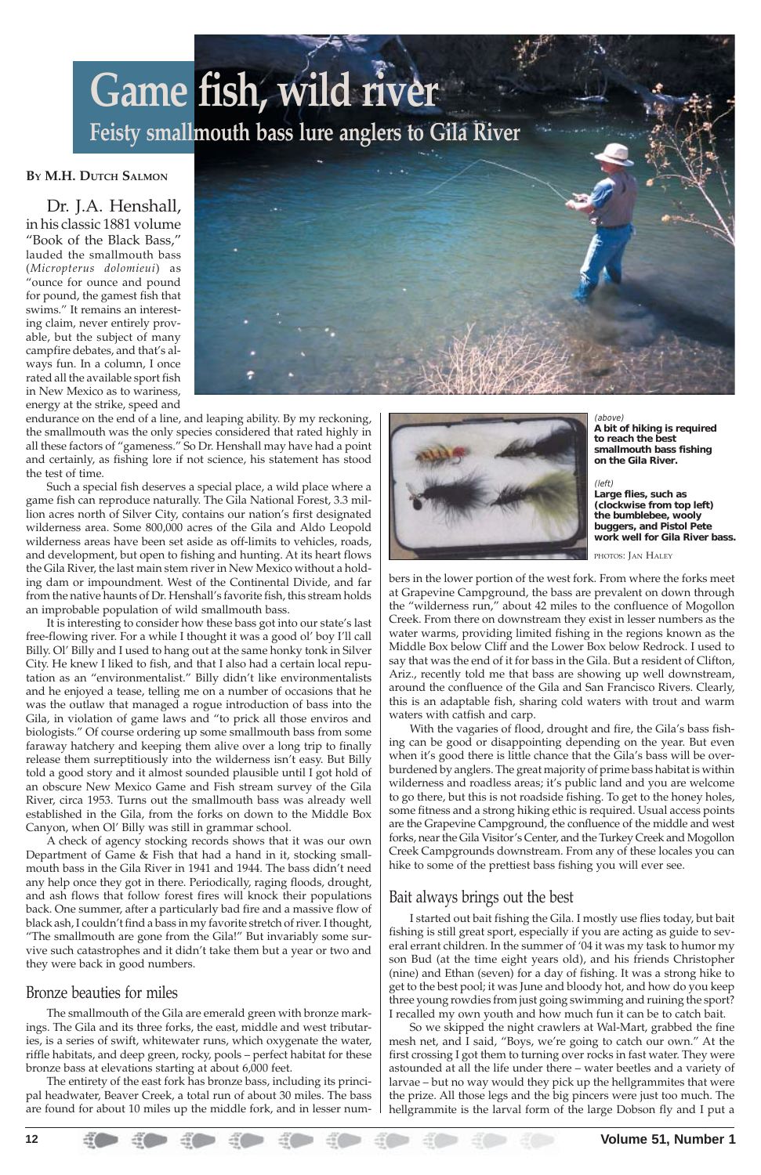#### **BY M.H. DUTCH SALMON**

Dr. J.A. Henshall, in his classic 1881 volume "Book of the Black Bass," lauded the smallmouth bass (*Micropterus dolomieui*) as "ounce for ounce and pound for pound, the gamest fish that swims." It remains an interesting claim, never entirely provable, but the subject of many campfire debates, and that's always fun. In a column, I once rated all the available sport fish in New Mexico as to wariness, energy at the strike, speed and



endurance on the end of a line, and leaping ability. By my reckoning, the smallmouth was the only species considered that rated highly in all these factors of "gameness." So Dr. Henshall may have had a point and certainly, as fishing lore if not science, his statement has stood the test of time.

Such a special fish deserves a special place, a wild place where a game fish can reproduce naturally. The Gila National Forest, 3.3 million acres north of Silver City, contains our nation's first designated wilderness area. Some 800,000 acres of the Gila and Aldo Leopold wilderness areas have been set aside as off-limits to vehicles, roads, and development, but open to fishing and hunting. At its heart flows the Gila River, the last main stem river in New Mexico without a holding dam or impoundment. West of the Continental Divide, and far from the native haunts of Dr. Henshall's favorite fish, this stream holds an improbable population of wild smallmouth bass.

It is interesting to consider how these bass got into our state's last free-flowing river. For a while I thought it was a good ol' boy I'll call Billy. Ol' Billy and I used to hang out at the same honky tonk in Silver City. He knew I liked to fish, and that I also had a certain local reputation as an "environmentalist." Billy didn't like environmentalists and he enjoyed a tease, telling me on a number of occasions that he was the outlaw that managed a rogue introduction of bass into the Gila, in violation of game laws and "to prick all those enviros and biologists." Of course ordering up some smallmouth bass from some faraway hatchery and keeping them alive over a long trip to finally release them surreptitiously into the wilderness isn't easy. But Billy told a good story and it almost sounded plausible until I got hold of an obscure New Mexico Game and Fish stream survey of the Gila River, circa 1953. Turns out the smallmouth bass was already well established in the Gila, from the forks on down to the Middle Box Canyon, when Ol' Billy was still in grammar school.

A check of agency stocking records shows that it was our own Department of Game & Fish that had a hand in it, stocking small-



mouth bass in the Gila River in 1941 and 1944. The bass didn't need any help once they got in there. Periodically, raging floods, drought, and ash flows that follow forest fires will knock their populations back. One summer, after a particularly bad fire and a massive flow of black ash, I couldn't find a bass in my favorite stretch of river. I thought, "The smallmouth are gone from the Gila!" But invariably some survive such catastrophes and it didn't take them but a year or two and they were back in good numbers.

## Bronze beauties for miles

The smallmouth of the Gila are emerald green with bronze markings. The Gila and its three forks, the east, middle and west tributaries, is a series of swift, whitewater runs, which oxygenate the water, riffle habitats, and deep green, rocky, pools – perfect habitat for these bronze bass at elevations starting at about 6,000 feet.

The entirety of the east fork has bronze bass, including its principal headwater, Beaver Creek, a total run of about 30 miles. The bass are found for about 10 miles up the middle fork, and in lesser numbers in the lower portion of the west fork. From where the forks meet at Grapevine Campground, the bass are prevalent on down through the "wilderness run," about 42 miles to the confluence of Mogollon Creek. From there on downstream they exist in lesser numbers as the water warms, providing limited fishing in the regions known as the Middle Box below Cliff and the Lower Box below Redrock. I used to say that was the end of it for bass in the Gila. But a resident of Clifton, Ariz., recently told me that bass are showing up well downstream, around the confluence of the Gila and San Francisco Rivers. Clearly, this is an adaptable fish, sharing cold waters with trout and warm waters with catfish and carp.

With the vagaries of flood, drought and fire, the Gila's bass fishing can be good or disappointing depending on the year. But even when it's good there is little chance that the Gila's bass will be overburdened by anglers. The great majority of prime bass habitat is within wilderness and roadless areas; it's public land and you are welcome to go there, but this is not roadside fishing. To get to the honey holes, some fitness and a strong hiking ethic is required. Usual access points are the Grapevine Campground, the confluence of the middle and west forks, near the Gila Visitor's Center, and the Turkey Creek and Mogollon Creek Campgrounds downstream. From any of these locales you can

hike to some of the prettiest bass fishing you will ever see.

## Bait always brings out the best

I started out bait fishing the Gila. I mostly use flies today, but bait fishing is still great sport, especially if you are acting as guide to several errant children. In the summer of '04 it was my task to humor my son Bud (at the time eight years old), and his friends Christopher (nine) and Ethan (seven) for a day of fishing. It was a strong hike to get to the best pool; it was June and bloody hot, and how do you keep three young rowdies from just going swimming and ruining the sport? I recalled my own youth and how much fun it can be to catch bait.

So we skipped the night crawlers at Wal-Mart, grabbed the fine mesh net, and I said, "Boys, we're going to catch our own." At the first crossing I got them to turning over rocks in fast water. They were astounded at all the life under there – water beetles and a variety of larvae – but no way would they pick up the hellgrammites that were the prize. All those legs and the big pincers were just too much. The hellgrammite is the larval form of the large Dobson fly and I put a

## **Game fish, wild river Feisty smallmouth bass lure anglers to Gila River**

(above) **A bit of hiking is required to reach the best smallmouth bass fishing on the Gila River.**

(left) **Large flies, such as (clockwise from top left) the bumblebee, wooly buggers, and Pistol Pete work well for Gila River bass.**

PHOTOS: JAN HALEY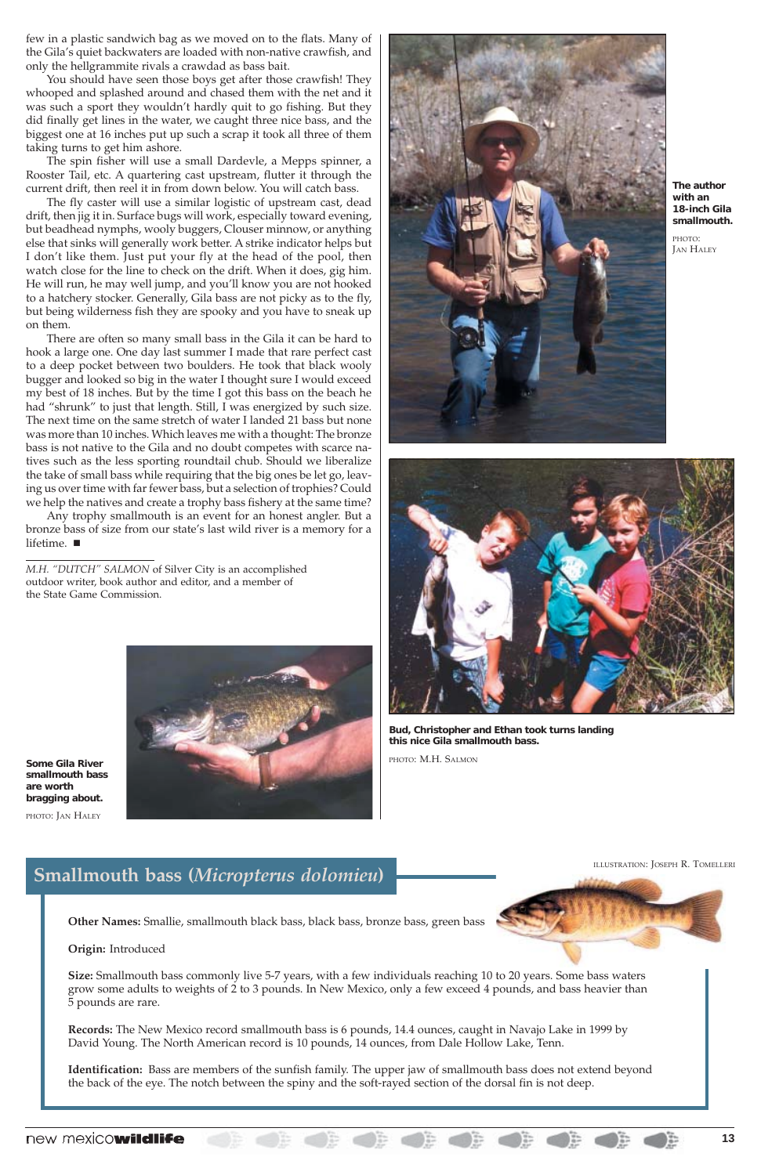## **Smallmouth bass (***Micropterus dolomieu***)**

**Other Names:** Smallie, smallmouth black bass, black bass, bronze bass, green bass

#### **Origin:** Introduced



**Size:** Smallmouth bass commonly live 5-7 years, with a few individuals reaching 10 to 20 years. Some bass waters grow some adults to weights of 2 to 3 pounds. In New Mexico, only a few exceed 4 pounds, and bass heavier than 5 pounds are rare.

**Records:** The New Mexico record smallmouth bass is 6 pounds, 14.4 ounces, caught in Navajo Lake in 1999 by David Young. The North American record is 10 pounds, 14 ounces, from Dale Hollow Lake, Tenn.

**Identification:** Bass are members of the sunfish family. The upper jaw of smallmouth bass does not extend beyond the back of the eye. The notch between the spiny and the soft-rayed section of the dorsal fin is not deep.

### new mexicowildlife



**Bud, Christopher and Ethan took turns landing this nice Gila smallmouth bass.**

PHOTO: M.H. SALMON

few in a plastic sandwich bag as we moved on to the flats. Many of the Gila's quiet backwaters are loaded with non-native crawfish, and only the hellgrammite rivals a crawdad as bass bait.

You should have seen those boys get after those crawfish! They whooped and splashed around and chased them with the net and it was such a sport they wouldn't hardly quit to go fishing. But they did finally get lines in the water, we caught three nice bass, and the biggest one at 16 inches put up such a scrap it took all three of them taking turns to get him ashore.

The spin fisher will use a small Dardevle, a Mepps spinner, a Rooster Tail, etc. A quartering cast upstream, flutter it through the current drift, then reel it in from down below. You will catch bass.

Any trophy smallmouth is an event for an honest angler. But a bronze bass of size from our state's last wild river is a memory for a lifetime.  $\blacksquare$ 

PHOTO: JAN HALEY

The fly caster will use a similar logistic of upstream cast, dead drift, then jig it in. Surface bugs will work, especially toward evening, but beadhead nymphs, wooly buggers, Clouser minnow, or anything else that sinks will generally work better. A strike indicator helps but I don't like them. Just put your fly at the head of the pool, then watch close for the line to check on the drift. When it does, gig him. He will run, he may well jump, and you'll know you are not hooked to a hatchery stocker. Generally, Gila bass are not picky as to the fly, but being wilderness fish they are spooky and you have to sneak up on them.

There are often so many small bass in the Gila it can be hard to hook a large one. One day last summer I made that rare perfect cast to a deep pocket between two boulders. He took that black wooly bugger and looked so big in the water I thought sure I would exceed my best of 18 inches. But by the time I got this bass on the beach he had "shrunk" to just that length. Still, I was energized by such size. The next time on the same stretch of water I landed 21 bass but none was more than 10 inches. Which leaves me with a thought: The bronze bass is not native to the Gila and no doubt competes with scarce natives such as the less sporting roundtail chub. Should we liberalize the take of small bass while requiring that the big ones be let go, leaving us over time with far fewer bass, but a selection of trophies? Could we help the natives and create a trophy bass fishery at the same time?

*M.H. "DUTCH" SALMON* of Silver City is an accomplished outdoor writer, book author and editor, and a member of the State Game Commission.



**Some Gila River smallmouth bass are worth bragging about.**





**The author with an 18-inch Gila smallmouth.**

#### ILLUSTRATION: JOSEPH R. TOMELLERI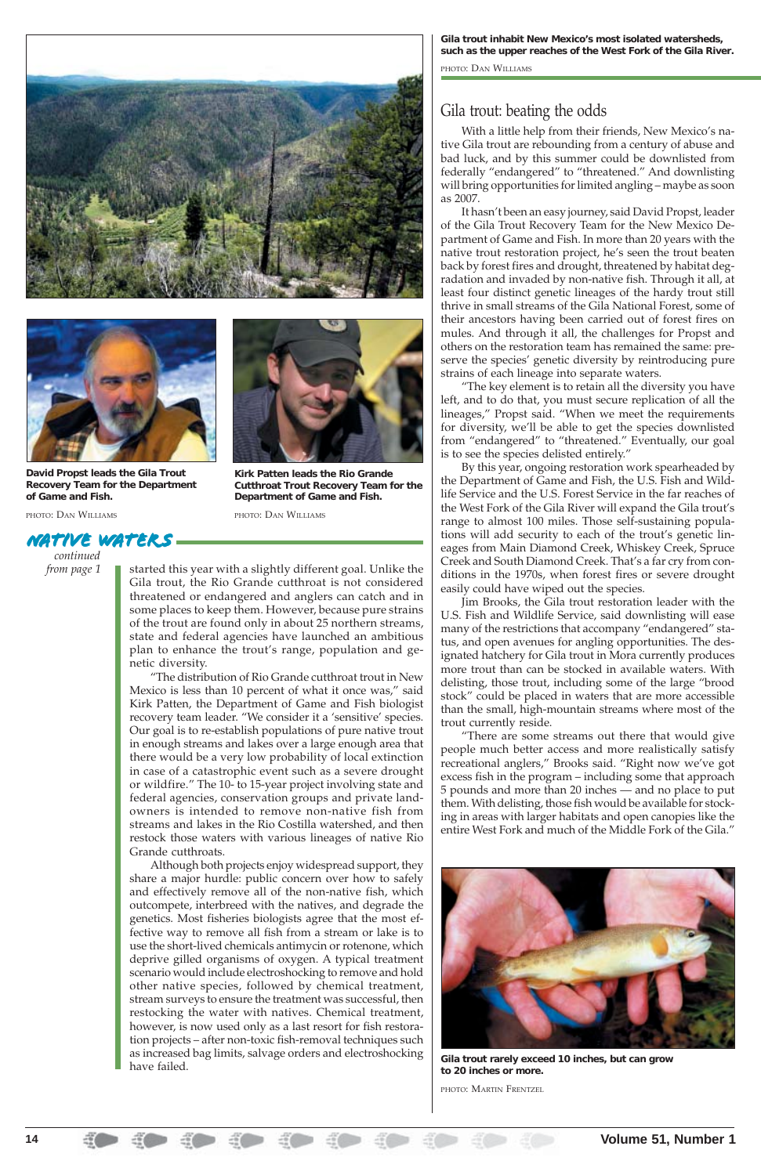started this year with a slightly different goal. Unlike the Gila trout, the Rio Grande cutthroat is not considered threatened or endangered and anglers can catch and in some places to keep them. However, because pure strains of the trout are found only in about 25 northern streams, state and federal agencies have launched an ambitious plan to enhance the trout's range, population and genetic diversity.

"The distribution of Rio Grande cutthroat trout in New Mexico is less than 10 percent of what it once was," said Kirk Patten, the Department of Game and Fish biologist recovery team leader. "We consider it a 'sensitive' species. Our goal is to re-establish populations of pure native trout in enough streams and lakes over a large enough area that there would be a very low probability of local extinction in case of a catastrophic event such as a severe drought or wildfire." The 10- to 15-year project involving state and federal agencies, conservation groups and private landowners is intended to remove non-native fish from streams and lakes in the Rio Costilla watershed, and then restock those waters with various lineages of native Rio Grande cutthroats. Although both projects enjoy widespread support, they share a major hurdle: public concern over how to safely and effectively remove all of the non-native fish, which outcompete, interbreed with the natives, and degrade the genetics. Most fisheries biologists agree that the most effective way to remove all fish from a stream or lake is to use the short-lived chemicals antimycin or rotenone, which deprive gilled organisms of oxygen. A typical treatment scenario would include electroshocking to remove and hold other native species, followed by chemical treatment, stream surveys to ensure the treatment was successful, then restocking the water with natives. Chemical treatment, however, is now used only as a last resort for fish restoration projects – after non-toxic fish-removal techniques such as increased bag limits, salvage orders and electroshocking have failed.

### Gila trout: beating the odds

With a little help from their friends, New Mexico's native Gila trout are rebounding from a century of abuse and bad luck, and by this summer could be downlisted from federally "endangered" to "threatened." And downlisting will bring opportunities for limited angling – maybe as soon as 2007.

It hasn't been an easy journey, said David Propst, leader of the Gila Trout Recovery Team for the New Mexico Department of Game and Fish. In more than 20 years with the native trout restoration project, he's seen the trout beaten back by forest fires and drought, threatened by habitat degradation and invaded by non-native fish. Through it all, at least four distinct genetic lineages of the hardy trout still thrive in small streams of the Gila National Forest, some of their ancestors having been carried out of forest fires on mules. And through it all, the challenges for Propst and others on the restoration team has remained the same: preserve the species' genetic diversity by reintroducing pure strains of each lineage into separate waters.

"The key element is to retain all the diversity you have left, and to do that, you must secure replication of all the lineages," Propst said. "When we meet the requirements for diversity, we'll be able to get the species downlisted from "endangered" to "threatened." Eventually, our goal is to see the species delisted entirely."

By this year, ongoing restoration work spearheaded by the Department of Game and Fish, the U.S. Fish and Wildlife Service and the U.S. Forest Service in the far reaches of the West Fork of the Gila River will expand the Gila trout's range to almost 100 miles. Those self-sustaining populations will add security to each of the trout's genetic lineages from Main Diamond Creek, Whiskey Creek, Spruce Creek and South Diamond Creek. That's a far cry from conditions in the 1970s, when forest fires or severe drought easily could have wiped out the species.

Jim Brooks, the Gila trout restoration leader with the U.S. Fish and Wildlife Service, said downlisting will ease many of the restrictions that accompany "endangered" status, and open avenues for angling opportunities. The designated hatchery for Gila trout in Mora currently produces more trout than can be stocked in available waters. With delisting, those trout, including some of the large "brood stock" could be placed in waters that are more accessible than the small, high-mountain streams where most of the trout currently reside.

"There are some streams out there that would give people much better access and more realistically satisfy recreational anglers," Brooks said. "Right now we've got excess fish in the program – including some that approach 5 pounds and more than 20 inches — and no place to put them. With delisting, those fish would be available for stocking in areas with larger habitats and open canopies like the entire West Fork and much of the Middle Fork of the Gila."







**David Propst leads the Gila Trout Recovery Team for the Department of Game and Fish.**

PHOTO: DAN WILLIAMS

**Kirk Patten leads the Rio Grande Cutthroat Trout Recovery Team for the Department of Game and Fish.**

PHOTO: DAN WILLIAMS

**Gila trout rarely exceed 10 inches, but can grow to 20 inches or more.**

PHOTO: MARTIN FRENTZEL

















**Gila trout inhabit New Mexico's most isolated watersheds, such as the upper reaches of the West Fork of the Gila River.**

PHOTO: DAN WILLIAMS

*Native water s continued* 

*from page 1* 

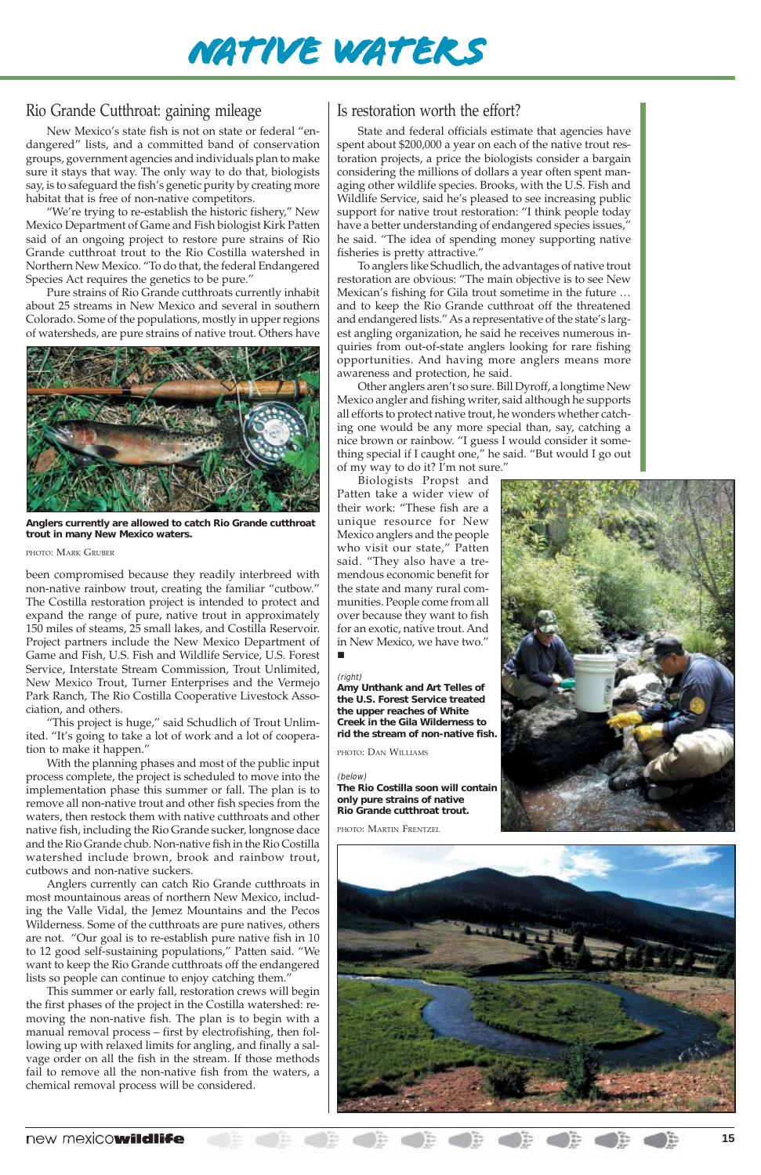#### new mexicowildlife **15**

## Rio Grande Cutthroat: gaining mileage

New Mexico's state fish is not on state or federal "endangered" lists, and a committed band of conservation groups, government agencies and individuals plan to make sure it stays that way. The only way to do that, biologists say, is to safeguard the fish's genetic purity by creating more habitat that is free of non-native competitors.

"We're trying to re-establish the historic fishery," New Mexico Department of Game and Fish biologist Kirk Patten said of an ongoing project to restore pure strains of Rio Grande cutthroat trout to the Rio Costilla watershed in Northern New Mexico. "To do that, the federal Endangered Species Act requires the genetics to be pure."

Pure strains of Rio Grande cutthroats currently inhabit about 25 streams in New Mexico and several in southern Colorado. Some of the populations, mostly in upper regions of watersheds, are pure strains of native trout. Others have

been compromised because they readily interbreed with non-native rainbow trout, creating the familiar "cutbow." The Costilla restoration project is intended to protect and expand the range of pure, native trout in approximately 150 miles of steams, 25 small lakes, and Costilla Reservoir. Project partners include the New Mexico Department of Game and Fish, U.S. Fish and Wildlife Service, U.S. Forest Service, Interstate Stream Commission, Trout Unlimited, New Mexico Trout, Turner Enterprises and the Vermejo Park Ranch, The Rio Costilla Cooperative Livestock Association, and others.

"This project is huge," said Schudlich of Trout Unlimited. "It's going to take a lot of work and a lot of cooperation to make it happen."

With the planning phases and most of the public input process complete, the project is scheduled to move into the implementation phase this summer or fall. The plan is to remove all non-native trout and other fish species from the waters, then restock them with native cutthroats and other native fish, including the Rio Grande sucker, longnose dace and the Rio Grande chub. Non-native fish in the Rio Costilla watershed include brown, brook and rainbow trout,

cutbows and non-native suckers.

Anglers currently can catch Rio Grande cutthroats in most mountainous areas of northern New Mexico, including the Valle Vidal, the Jemez Mountains and the Pecos Wilderness. Some of the cutthroats are pure natives, others are not. "Our goal is to re-establish pure native fish in 10 to 12 good self-sustaining populations," Patten said. "We want to keep the Rio Grande cutthroats off the endangered lists so people can continue to enjoy catching them."

This summer or early fall, restoration crews will begin the first phases of the project in the Costilla watershed: removing the non-native fish. The plan is to begin with a manual removal process – first by electrofishing, then following up with relaxed limits for angling, and finally a salvage order on all the fish in the stream. If those methods fail to remove all the non-native fish from the waters, a chemical removal process will be considered.



### Is restoration worth the effort?

State and federal officials estimate that agencies have spent about \$200,000 a year on each of the native trout restoration projects, a price the biologists consider a bargain considering the millions of dollars a year often spent managing other wildlife species. Brooks, with the U.S. Fish and Wildlife Service, said he's pleased to see increasing public support for native trout restoration: "I think people today have a better understanding of endangered species issues," he said. "The idea of spending money supporting native fisheries is pretty attractive."

To anglers like Schudlich, the advantages of native trout restoration are obvious: "The main objective is to see New Mexican's fishing for Gila trout sometime in the future … and to keep the Rio Grande cutthroat off the threatened and endangered lists." As a representative of the state's largest angling organization, he said he receives numerous inquiries from out-of-state anglers looking for rare fishing opportunities. And having more anglers means more awareness and protection, he said.

Other anglers aren't so sure. Bill Dyroff, a longtime New Mexico angler and fishing writer, said although he supports all efforts to protect native trout, he wonders whether catching one would be any more special than, say, catching a nice brown or rainbow. "I guess I would consider it something special if I caught one," he said. "But would I go out

of my way to do it? I'm not sure."

Biologists Propst and Patten take a wider view of their work: "These fish are a unique resource for New Mexico anglers and the people who visit our state," Patten said. "They also have a tremendous economic benefit for the state and many rural communities. People come from all over because they want to fish for an exotic, native trout. And in New Mexico, we have two."

#### !



**Anglers currently are allowed to catch Rio Grande cutthroat trout in many New Mexico waters.**

#### PHOTO: MARK GRUBER

#### (right)

**Amy Unthank and Art Telles of the U.S. Forest Service treated the upper reaches of White Creek in the Gila Wilderness to rid the stream of non-native fish.**

#### PHOTO: DAN WILLIAMS

#### (below)

**The Rio Costilla soon will contain only pure strains of native Rio Grande cutthroat trout.**

PHOTO: MARTIN FRENTZEL